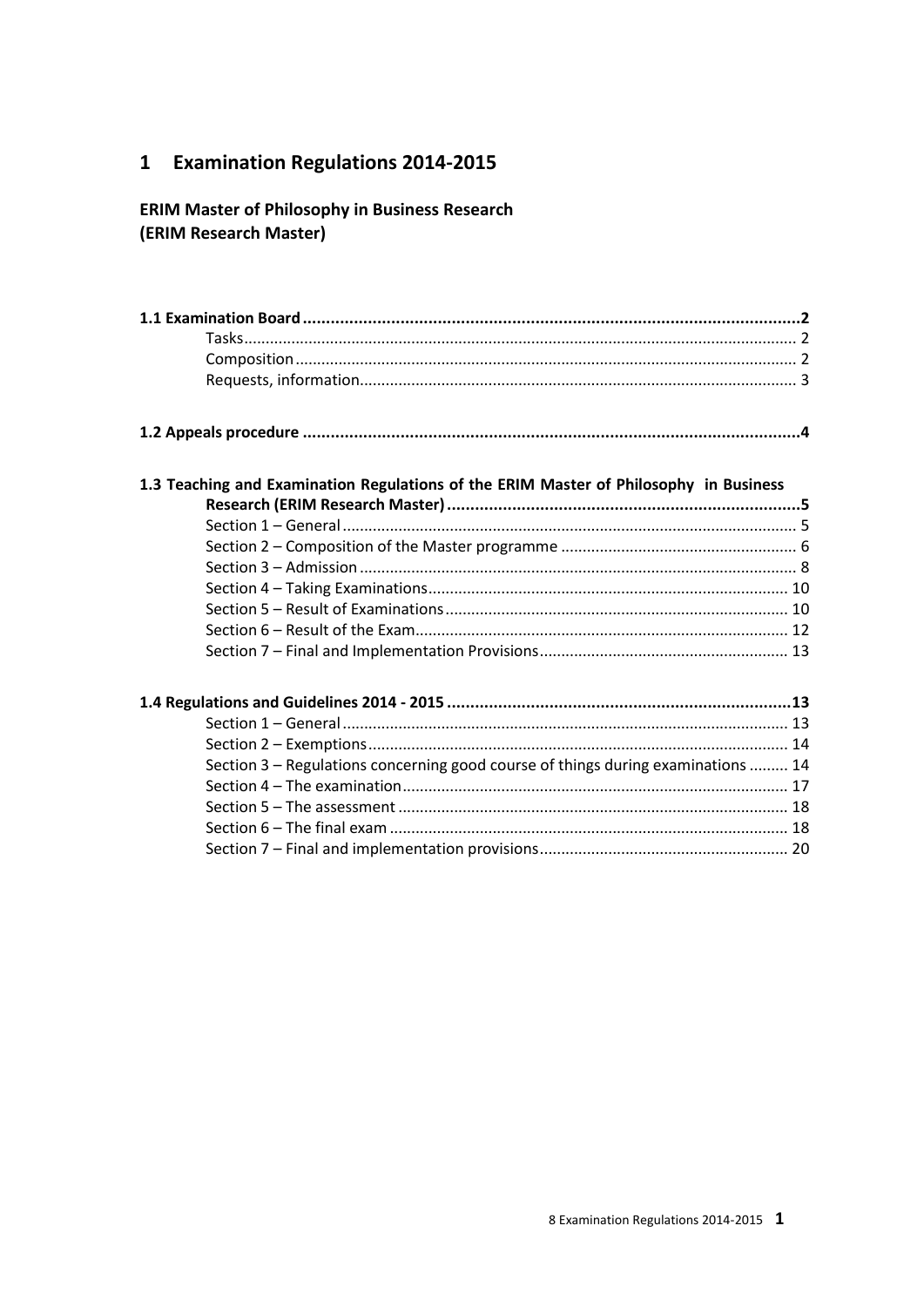#### **Examination Regulations 2014-2015**  $\mathbf{1}$

## **ERIM Master of Philosophy in Business Research** (ERIM Research Master)

#### 1.3 Teaching and Examination Regulations of the ERIM Master of Philosophy in Business Research (FRIM Research Master)

| Section 3 – Regulations concerning good course of things during examinations  14 |  |
|----------------------------------------------------------------------------------|--|
|                                                                                  |  |
|                                                                                  |  |
|                                                                                  |  |
|                                                                                  |  |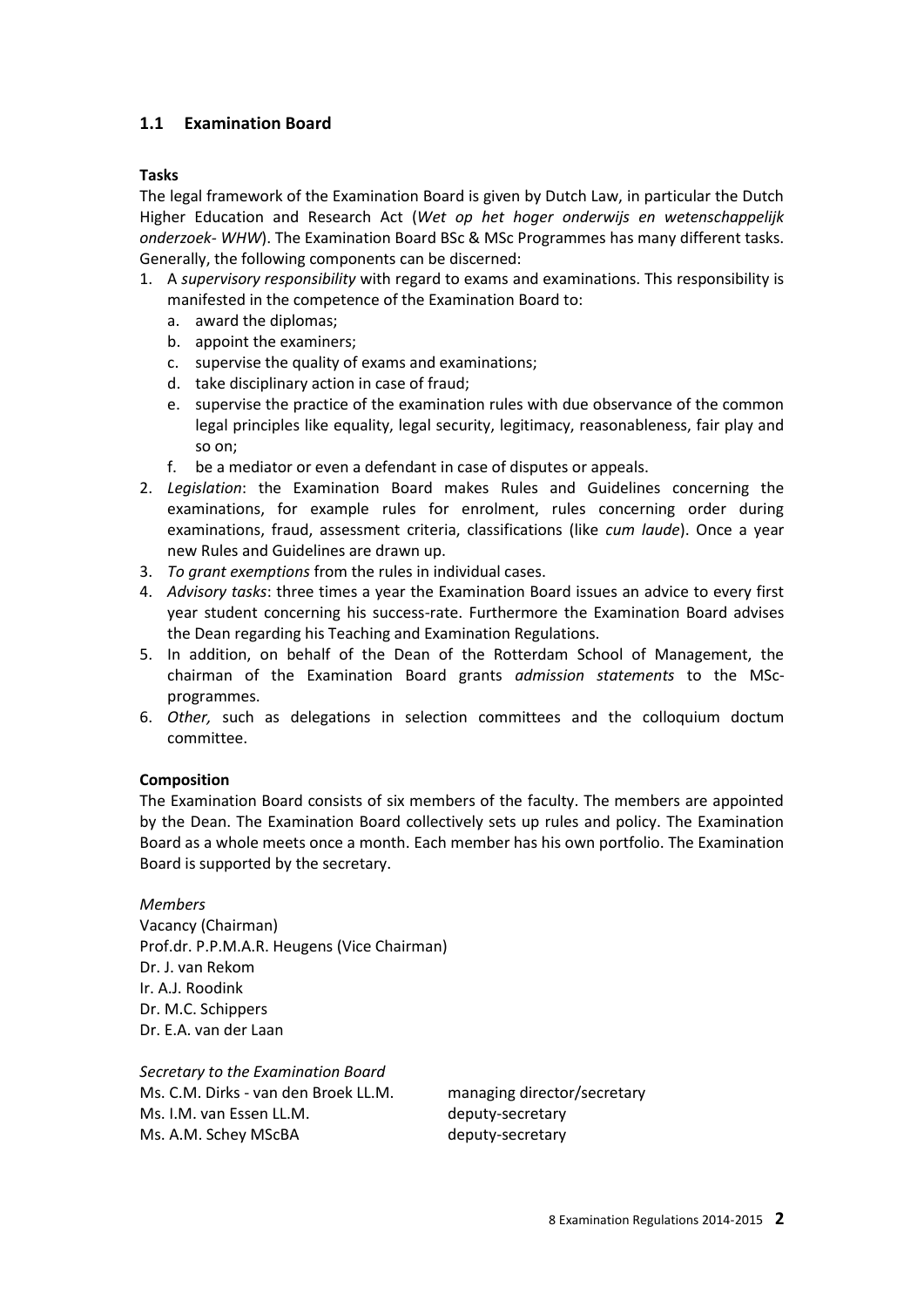## **1.1 Examination Board**

#### **Tasks**

The legal framework of the Examination Board is given by Dutch Law, in particular the Dutch Higher Education and Research Act (*Wet op het hoger onderwijs en wetenschappelijk onderzoek- WHW*). The Examination Board BSc & MSc Programmes has many different tasks. Generally, the following components can be discerned:

- 1. A *supervisory responsibility* with regard to exams and examinations. This responsibility is manifested in the competence of the Examination Board to:
	- a. award the diplomas;
	- b. appoint the examiners;
	- c. supervise the quality of exams and examinations;
	- d. take disciplinary action in case of fraud;
	- e. supervise the practice of the examination rules with due observance of the common legal principles like equality, legal security, legitimacy, reasonableness, fair play and so on;
	- f. be a mediator or even a defendant in case of disputes or appeals.
- 2. *Legislation*: the Examination Board makes Rules and Guidelines concerning the examinations, for example rules for enrolment, rules concerning order during examinations, fraud, assessment criteria, classifications (like *cum laude*). Once a year new Rules and Guidelines are drawn up.
- 3. *To grant exemptions* from the rules in individual cases.
- 4. *Advisory tasks*: three times a year the Examination Board issues an advice to every first year student concerning his success-rate. Furthermore the Examination Board advises the Dean regarding his Teaching and Examination Regulations.
- 5. In addition, on behalf of the Dean of the Rotterdam School of Management, the chairman of the Examination Board grants *admission statements* to the MScprogrammes.
- 6. *Other,* such as delegations in selection committees and the colloquium doctum committee.

#### **Composition**

The Examination Board consists of six members of the faculty. The members are appointed by the Dean. The Examination Board collectively sets up rules and policy. The Examination Board as a whole meets once a month. Each member has his own portfolio. The Examination Board is supported by the secretary.

*Members* Vacancy (Chairman) Prof.dr. P.P.M.A.R. Heugens (Vice Chairman) Dr. J. van Rekom Ir. A.J. Roodink Dr. M.C. Schippers Dr. E.A. van der Laan

*Secretary to the Examination Board* Ms. C.M. Dirks - van den Broek LL.M. managing director/secretary Ms. I.M. van Essen LL.M. deputy-secretary Ms. A.M. Schey MScBA deputy-secretary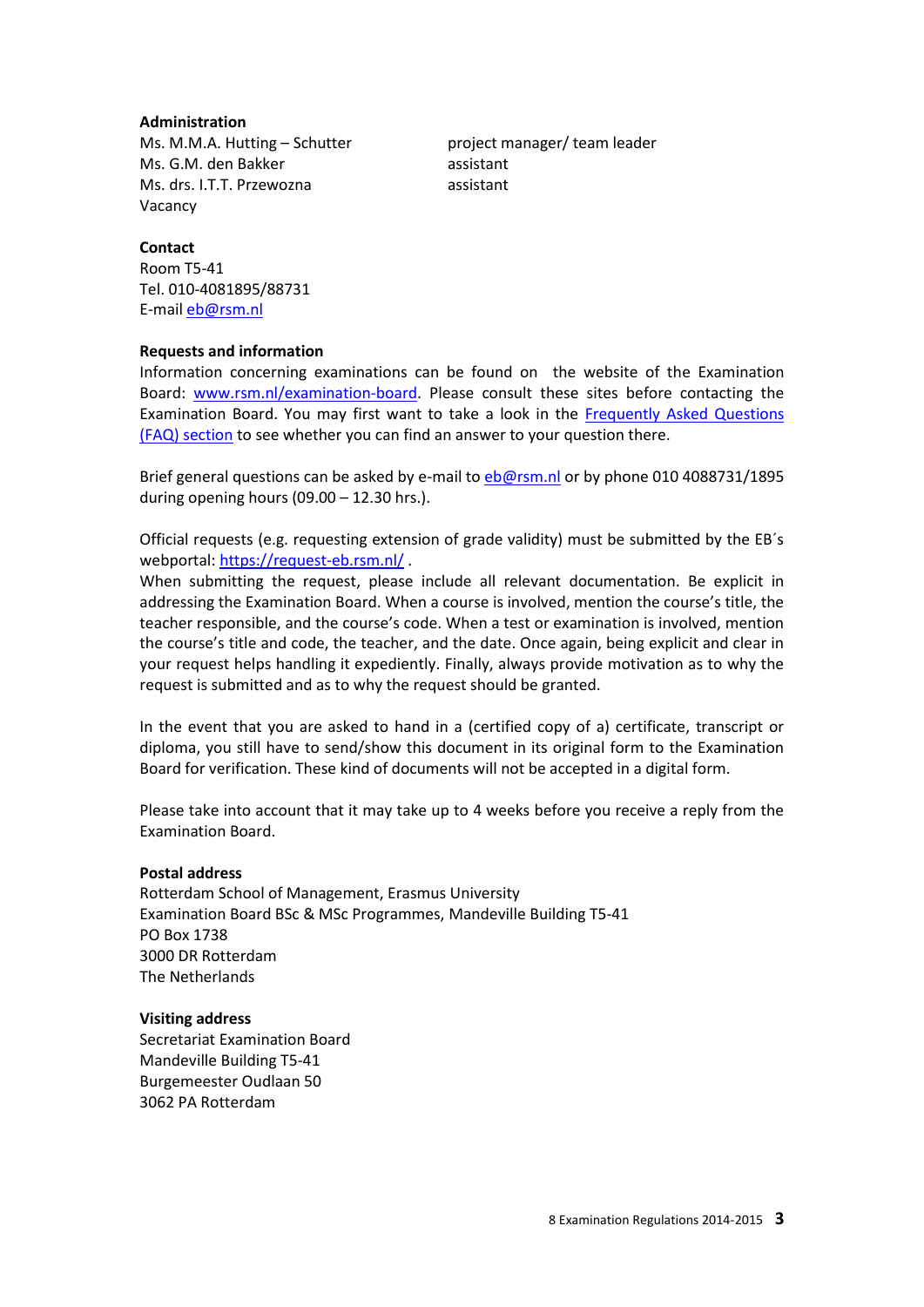#### **Administration**

Ms. M.M.A. Hutting – Schutter project manager/ team leader Ms. G.M. den Bakker assistant Ms. drs. I.T.T. Przewozna assistant Vacancy

#### **Contact**

Room T5-41 Tel. 010-4081895/88731 E-mai[l eb@rsm.nl](mailto:eb@rsm.nl)

#### **Requests and information**

Information concerning examinations can be found on the website of the Examination Board: [www.rsm.nl/examination-board.](http://www.rsm.nl/examination-board) Please consult these sites before contacting the Examination Board. You may first want to take a look in the [Frequently Asked Questions](http://www.rsm.nl/examination-board/frequently-asked-questions-faqs/)  [\(FAQ\) section](http://www.rsm.nl/examination-board/frequently-asked-questions-faqs/) to see whether you can find an answer to your question there.

Brief general questions can be asked by e-mail to [eb@rsm.nl](mailto:eb@rsm.nl) or by phone 010 4088731/1895 during opening hours  $(09.00 - 12.30$  hrs.).

Official requests (e.g. requesting extension of grade validity) must be submitted by the EB´s webportal[: https://request-eb.rsm.nl/](https://request-eb.rsm.nl/).

When submitting the request, please include all relevant documentation. Be explicit in addressing the Examination Board. When a course is involved, mention the course's title, the teacher responsible, and the course's code. When a test or examination is involved, mention the course's title and code, the teacher, and the date. Once again, being explicit and clear in your request helps handling it expediently. Finally, always provide motivation as to why the request is submitted and as to why the request should be granted.

In the event that you are asked to hand in a (certified copy of a) certificate, transcript or diploma, you still have to send/show this document in its original form to the Examination Board for verification. These kind of documents will not be accepted in a digital form.

Please take into account that it may take up to 4 weeks before you receive a reply from the Examination Board.

#### **Postal address**

Rotterdam School of Management, Erasmus University Examination Board BSc & MSc Programmes, Mandeville Building T5-41 PO Box 1738 3000 DR Rotterdam The Netherlands

#### **Visiting address**

Secretariat Examination Board Mandeville Building T5-41 Burgemeester Oudlaan 50 3062 PA Rotterdam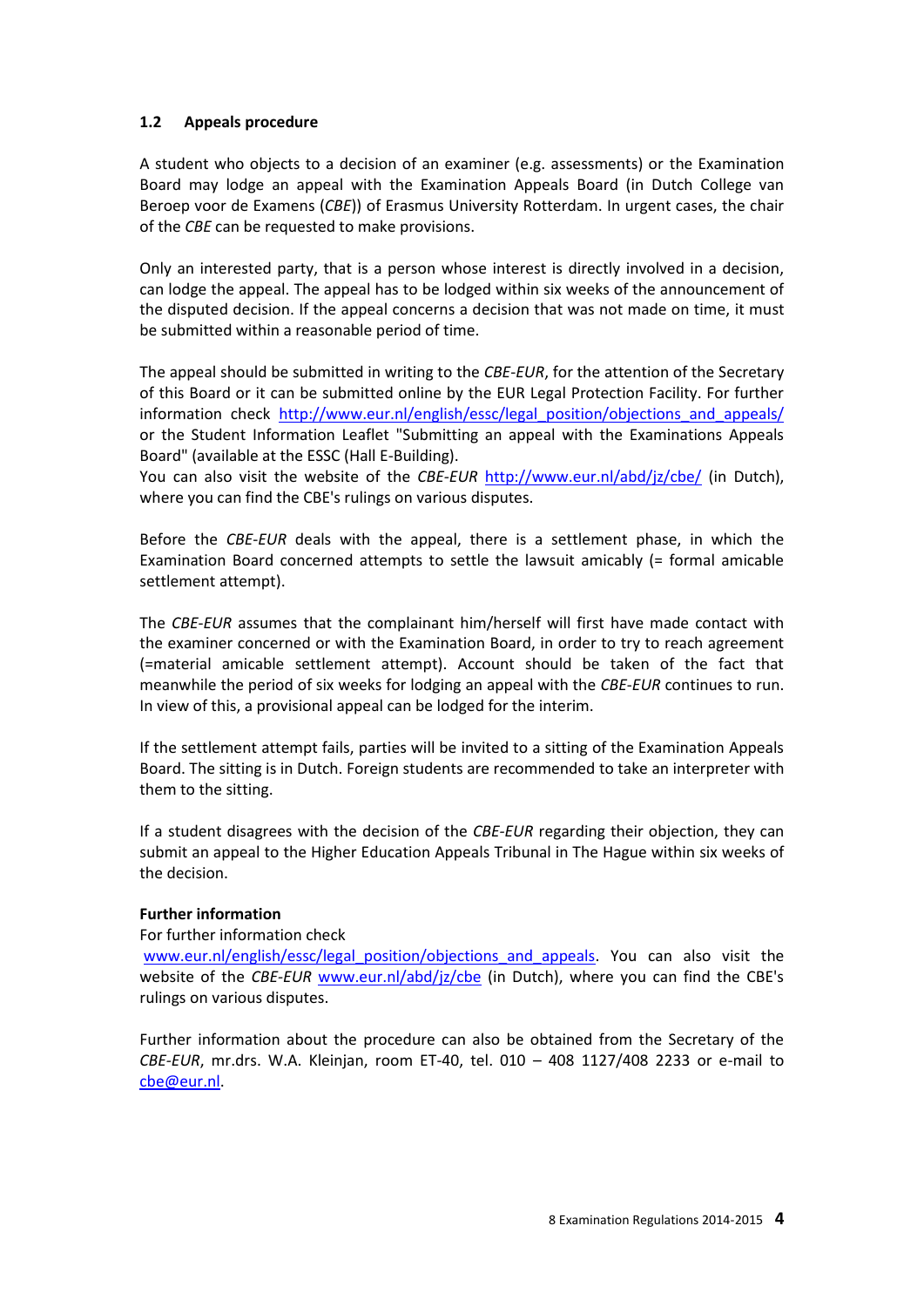#### **1.2 Appeals procedure**

A student who objects to a decision of an examiner (e.g. assessments) or the Examination Board may lodge an appeal with the Examination Appeals Board (in Dutch College van Beroep voor de Examens (*CBE*)) of Erasmus University Rotterdam. In urgent cases, the chair of the *CBE* can be requested to make provisions.

Only an interested party, that is a person whose interest is directly involved in a decision, can lodge the appeal. The appeal has to be lodged within six weeks of the announcement of the disputed decision. If the appeal concerns a decision that was not made on time, it must be submitted within a reasonable period of time.

The appeal should be submitted in writing to the *CBE*-*EUR*, for the attention of the Secretary of this Board or it can be submitted online by the EUR Legal Protection Facility. For further information check [http://www.eur.nl/english/essc/legal\\_position/objections\\_and\\_appeals/](http://www.eur.nl/english/essc/legal_position/objections_and_appeals/) or the Student Information Leaflet "Submitting an appeal with the Examinations Appeals Board" (available at the ESSC (Hall E-Building).

You can also visit the website of the *CBE-EUR* <http://www.eur.nl/abd/jz/cbe/> (in Dutch), where you can find the CBE's rulings on various disputes.

Before the *CBE*-*EUR* deals with the appeal, there is a settlement phase, in which the Examination Board concerned attempts to settle the lawsuit amicably (= formal amicable settlement attempt).

The *CBE*-*EUR* assumes that the complainant him/herself will first have made contact with the examiner concerned or with the Examination Board, in order to try to reach agreement (=material amicable settlement attempt). Account should be taken of the fact that meanwhile the period of six weeks for lodging an appeal with the *CBE*-*EUR* continues to run. In view of this, a provisional appeal can be lodged for the interim.

If the settlement attempt fails, parties will be invited to a sitting of the Examination Appeals Board. The sitting is in Dutch. Foreign students are recommended to take an interpreter with them to the sitting.

If a student disagrees with the decision of the *CBE-EUR* regarding their objection, they can submit an appeal to the Higher Education Appeals Tribunal in The Hague within six weeks of the decision.

#### **Further information**

For further information check

[www.eur.nl/english/essc/legal\\_position/objections\\_and\\_appeals.](http://www.eur.nl/english/essc/legal_position/objections_and_appeals) You can also visit the website of the *CBE-EUR* [www.eur.nl/abd/jz/cbe](http://www.eur.nl/abd/jz/cbe) (in Dutch), where you can find the CBE's rulings on various disputes.

Further information about the procedure can also be obtained from the Secretary of the *CBE-EUR*, mr.drs. W.A. Kleinjan, room ET-40, tel. 010 – 408 1127/408 2233 or e-mail to [cbe@eur.nl.](mailto:cbe@eur.nl)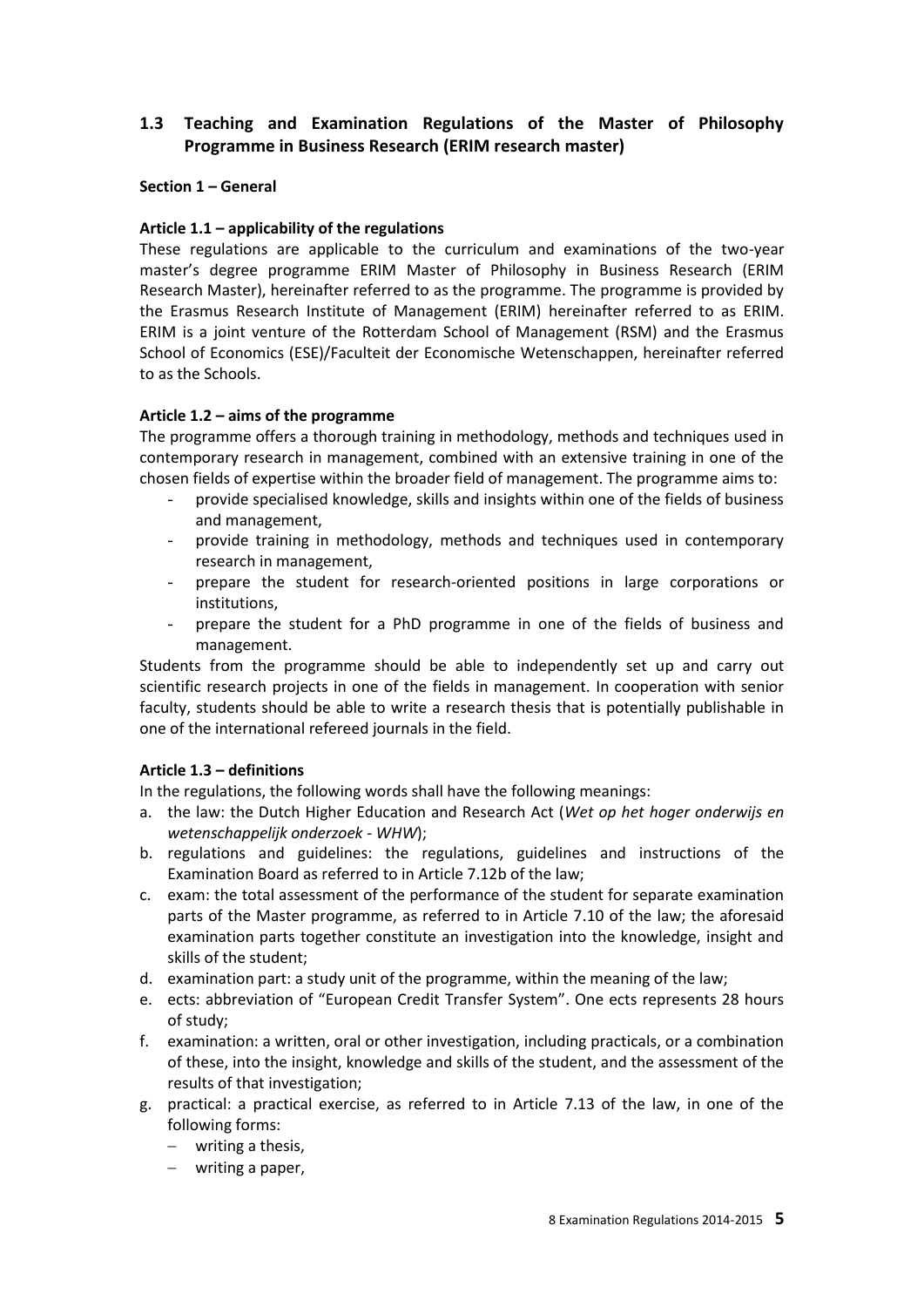# **1.3 Teaching and Examination Regulations of the Master of Philosophy Programme in Business Research (ERIM research master)**

#### **Section 1 – General**

#### **Article 1.1 – applicability of the regulations**

These regulations are applicable to the curriculum and examinations of the two-year master's degree programme ERIM Master of Philosophy in Business Research (ERIM Research Master), hereinafter referred to as the programme. The programme is provided by the Erasmus Research Institute of Management (ERIM) hereinafter referred to as ERIM. ERIM is a joint venture of the Rotterdam School of Management (RSM) and the Erasmus School of Economics (ESE)/Faculteit der Economische Wetenschappen, hereinafter referred to as the Schools.

#### **Article 1.2 – aims of the programme**

The programme offers a thorough training in methodology, methods and techniques used in contemporary research in management, combined with an extensive training in one of the chosen fields of expertise within the broader field of management. The programme aims to:

- provide specialised knowledge, skills and insights within one of the fields of business and management,
- provide training in methodology, methods and techniques used in contemporary research in management,
- prepare the student for research-oriented positions in large corporations or institutions,
- prepare the student for a PhD programme in one of the fields of business and management.

Students from the programme should be able to independently set up and carry out scientific research projects in one of the fields in management. In cooperation with senior faculty, students should be able to write a research thesis that is potentially publishable in one of the international refereed journals in the field.

#### **Article 1.3 – definitions**

In the regulations, the following words shall have the following meanings:

- a. the law: the Dutch Higher Education and Research Act (*Wet op het hoger onderwijs en wetenschappelijk onderzoek* - *WHW*);
- b. regulations and guidelines: the regulations, guidelines and instructions of the Examination Board as referred to in Article 7.12b of the law;
- c. exam: the total assessment of the performance of the student for separate examination parts of the Master programme, as referred to in Article 7.10 of the law; the aforesaid examination parts together constitute an investigation into the knowledge, insight and skills of the student;
- d. examination part: a study unit of the programme, within the meaning of the law;
- e. ects: abbreviation of "European Credit Transfer System". One ects represents 28 hours of study;
- f. examination: a written, oral or other investigation, including practicals, or a combination of these, into the insight, knowledge and skills of the student, and the assessment of the results of that investigation;
- g. practical: a practical exercise, as referred to in Article 7.13 of the law, in one of the following forms:
	- writing a thesis,
	- writing a paper,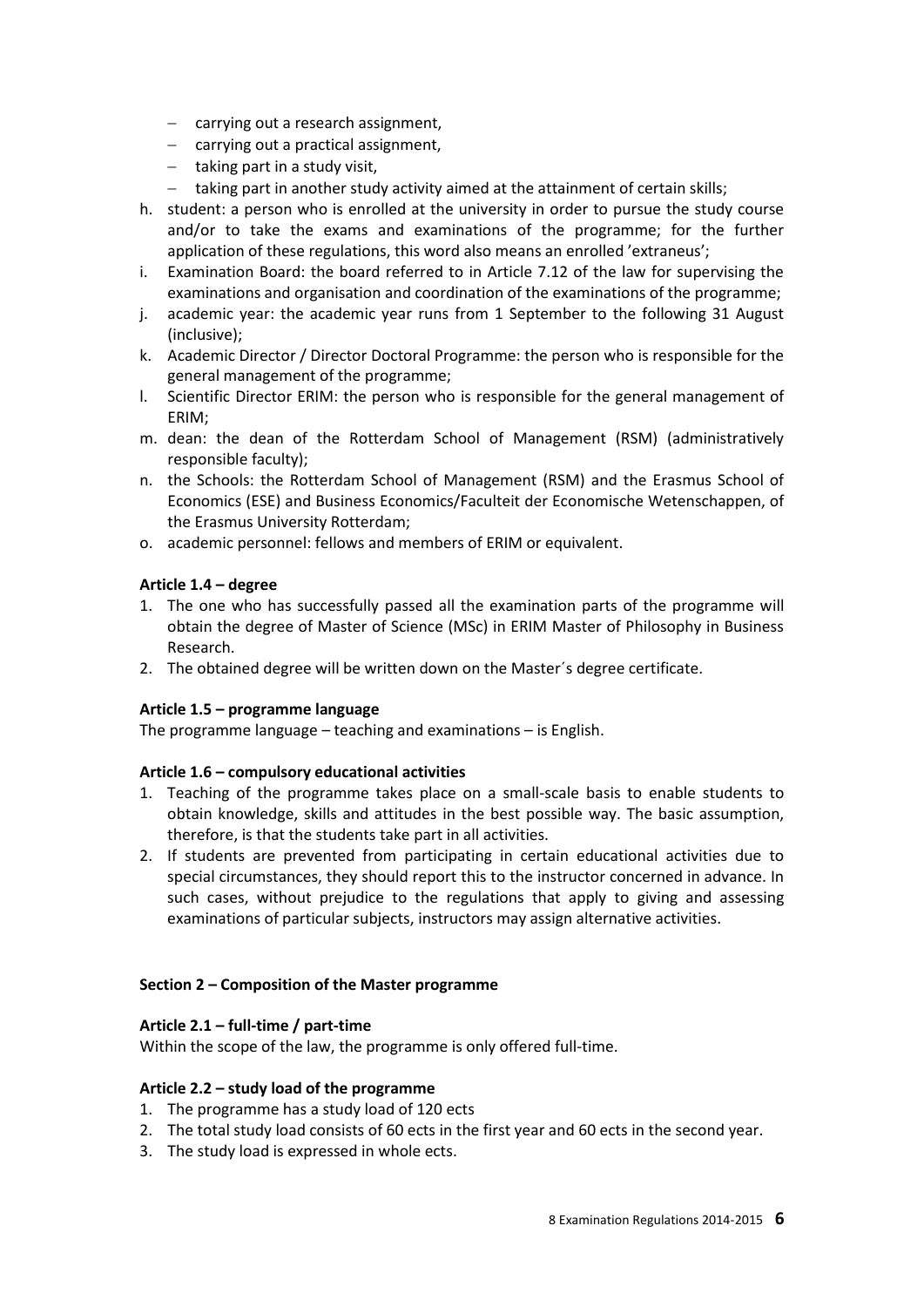- $-$  carrying out a research assignment,
- carrying out a practical assignment,
- $-$  taking part in a study visit,
- taking part in another study activity aimed at the attainment of certain skills;
- h. student: a person who is enrolled at the university in order to pursue the study course and/or to take the exams and examinations of the programme; for the further application of these regulations, this word also means an enrolled 'extraneus';
- i. Examination Board: the board referred to in Article 7.12 of the law for supervising the examinations and organisation and coordination of the examinations of the programme;
- j. academic year: the academic year runs from 1 September to the following 31 August (inclusive);
- k. Academic Director / Director Doctoral Programme: the person who is responsible for the general management of the programme;
- l. Scientific Director ERIM: the person who is responsible for the general management of ERIM;
- m. dean: the dean of the Rotterdam School of Management (RSM) (administratively responsible faculty);
- n. the Schools: the Rotterdam School of Management (RSM) and the Erasmus School of Economics (ESE) and Business Economics/Faculteit der Economische Wetenschappen, of the Erasmus University Rotterdam;
- o. academic personnel: fellows and members of ERIM or equivalent.

#### **Article 1.4 – degree**

- 1. The one who has successfully passed all the examination parts of the programme will obtain the degree of Master of Science (MSc) in ERIM Master of Philosophy in Business Research.
- 2. The obtained degree will be written down on the Master´s degree certificate.

#### **Article 1.5 – programme language**

The programme language – teaching and examinations – is English.

#### **Article 1.6 – compulsory educational activities**

- 1. Teaching of the programme takes place on a small-scale basis to enable students to obtain knowledge, skills and attitudes in the best possible way. The basic assumption, therefore, is that the students take part in all activities.
- 2. If students are prevented from participating in certain educational activities due to special circumstances, they should report this to the instructor concerned in advance. In such cases, without prejudice to the regulations that apply to giving and assessing examinations of particular subjects, instructors may assign alternative activities.

#### **Section 2 – Composition of the Master programme**

#### **Article 2.1 – full-time / part-time**

Within the scope of the law, the programme is only offered full-time.

#### **Article 2.2 – study load of the programme**

- 1. The programme has a study load of 120 ects
- 2. The total study load consists of 60 ects in the first year and 60 ects in the second year.
- 3. The study load is expressed in whole ects.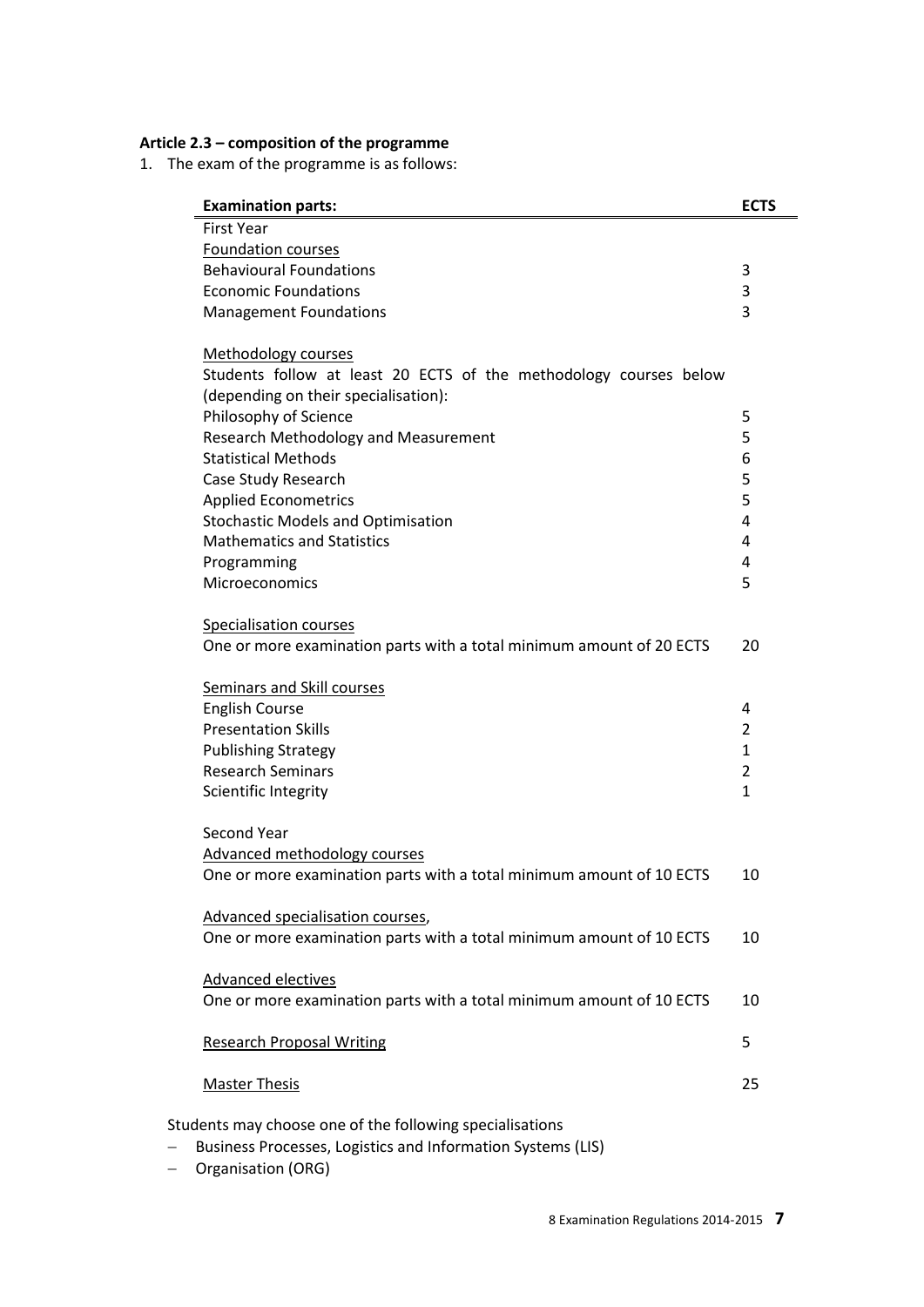## **Article 2.3 – composition of the programme**

1. The exam of the programme is as follows:

| <b>Examination parts:</b>                                            | <b>ECTS</b>    |
|----------------------------------------------------------------------|----------------|
| <b>First Year</b>                                                    |                |
| <b>Foundation courses</b>                                            |                |
| <b>Behavioural Foundations</b>                                       | 3              |
| <b>Economic Foundations</b>                                          | 3              |
| <b>Management Foundations</b>                                        | 3              |
| <b>Methodology courses</b>                                           |                |
| Students follow at least 20 ECTS of the methodology courses below    |                |
| (depending on their specialisation):                                 |                |
| Philosophy of Science                                                | 5              |
| Research Methodology and Measurement                                 | 5              |
| <b>Statistical Methods</b>                                           | 6              |
| Case Study Research                                                  | 5              |
| <b>Applied Econometrics</b>                                          | 5              |
| <b>Stochastic Models and Optimisation</b>                            | 4              |
| <b>Mathematics and Statistics</b>                                    | 4              |
| Programming                                                          | 4              |
| Microeconomics                                                       | 5              |
| Specialisation courses                                               |                |
| One or more examination parts with a total minimum amount of 20 ECTS | 20             |
| <b>Seminars and Skill courses</b>                                    |                |
|                                                                      | 4              |
| <b>English Course</b><br><b>Presentation Skills</b>                  | $\overline{2}$ |
| <b>Publishing Strategy</b>                                           | $\mathbf{1}$   |
| <b>Research Seminars</b>                                             | 2              |
|                                                                      |                |
| Scientific Integrity                                                 | $\mathbf{1}$   |
| Second Year                                                          |                |
| Advanced methodology courses                                         |                |
| One or more examination parts with a total minimum amount of 10 ECTS | 10             |
| Advanced specialisation courses,                                     |                |
| One or more examination parts with a total minimum amount of 10 ECTS | 10             |
| Advanced electives                                                   |                |
| One or more examination parts with a total minimum amount of 10 ECTS | 10             |
| <b>Research Proposal Writing</b>                                     | 5              |
| <b>Master Thesis</b>                                                 | 25             |
| Students may choose one of the following specialisations             |                |
| Business Processes, Logistics and Information Systems (LIS)          |                |
|                                                                      |                |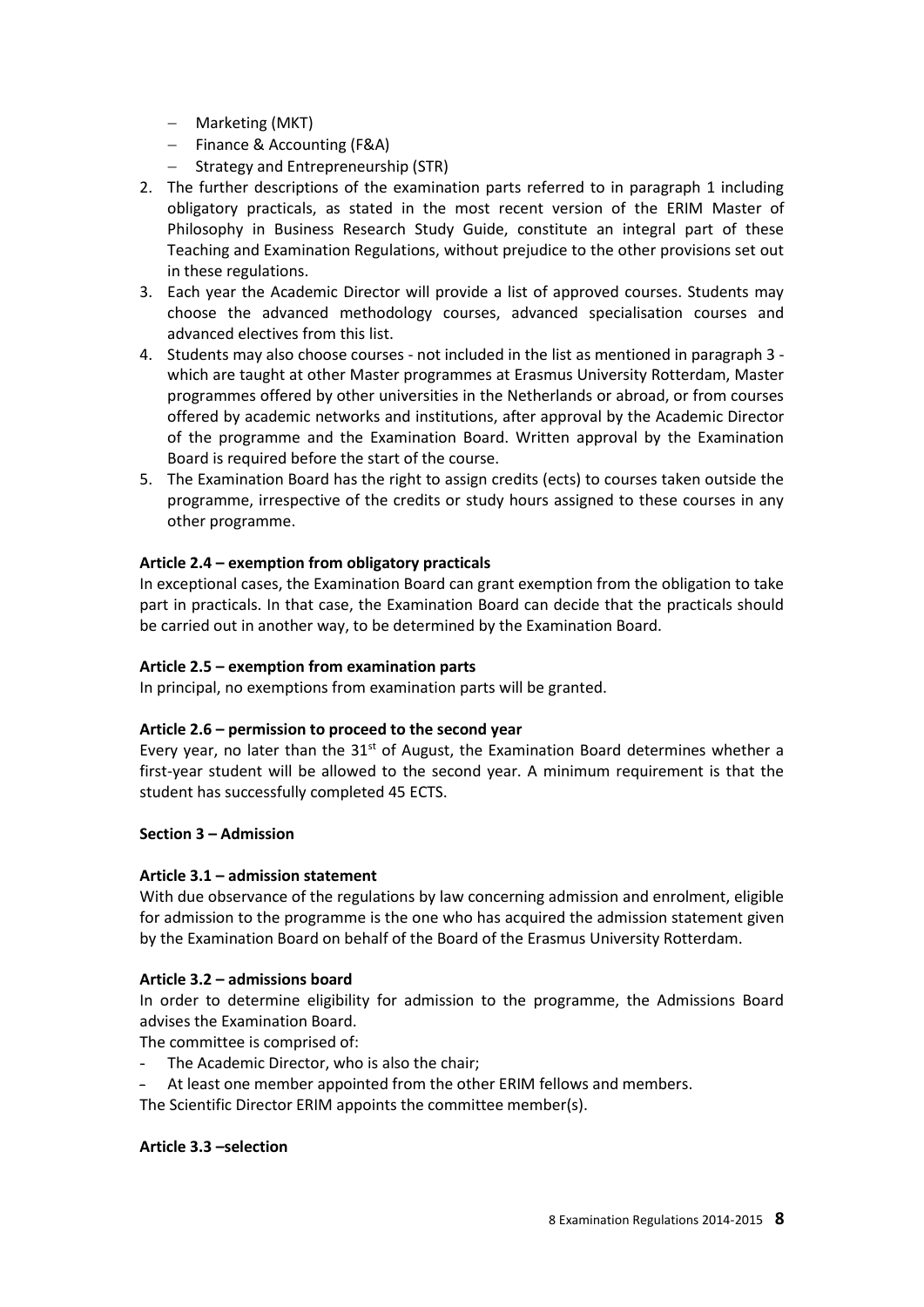- Marketing (MKT)
- Finance & Accounting (F&A)
- Strategy and Entrepreneurship (STR)
- 2. The further descriptions of the examination parts referred to in paragraph 1 including obligatory practicals, as stated in the most recent version of the ERIM Master of Philosophy in Business Research Study Guide, constitute an integral part of these Teaching and Examination Regulations, without prejudice to the other provisions set out in these regulations.
- 3. Each year the Academic Director will provide a list of approved courses. Students may choose the advanced methodology courses, advanced specialisation courses and advanced electives from this list.
- 4. Students may also choose courses not included in the list as mentioned in paragraph 3 which are taught at other Master programmes at Erasmus University Rotterdam, Master programmes offered by other universities in the Netherlands or abroad, or from courses offered by academic networks and institutions, after approval by the Academic Director of the programme and the Examination Board. Written approval by the Examination Board is required before the start of the course.
- 5. The Examination Board has the right to assign credits (ects) to courses taken outside the programme, irrespective of the credits or study hours assigned to these courses in any other programme.

## **Article 2.4 – exemption from obligatory practicals**

In exceptional cases, the Examination Board can grant exemption from the obligation to take part in practicals. In that case, the Examination Board can decide that the practicals should be carried out in another way, to be determined by the Examination Board.

## **Article 2.5 – exemption from examination parts**

In principal, no exemptions from examination parts will be granted.

## **Article 2.6 – permission to proceed to the second year**

Every year, no later than the  $31<sup>st</sup>$  of August, the Examination Board determines whether a first-year student will be allowed to the second year. A minimum requirement is that the student has successfully completed 45 ECTS.

## **Section 3 – Admission**

## **Article 3.1 – admission statement**

With due observance of the regulations by law concerning admission and enrolment, eligible for admission to the programme is the one who has acquired the admission statement given by the Examination Board on behalf of the Board of the Erasmus University Rotterdam.

## **Article 3.2 – admissions board**

In order to determine eligibility for admission to the programme, the Admissions Board advises the Examination Board.

The committee is comprised of:

- The Academic Director, who is also the chair:
- At least one member appointed from the other ERIM fellows and members.
- The Scientific Director ERIM appoints the committee member(s).

#### **Article 3.3 –selection**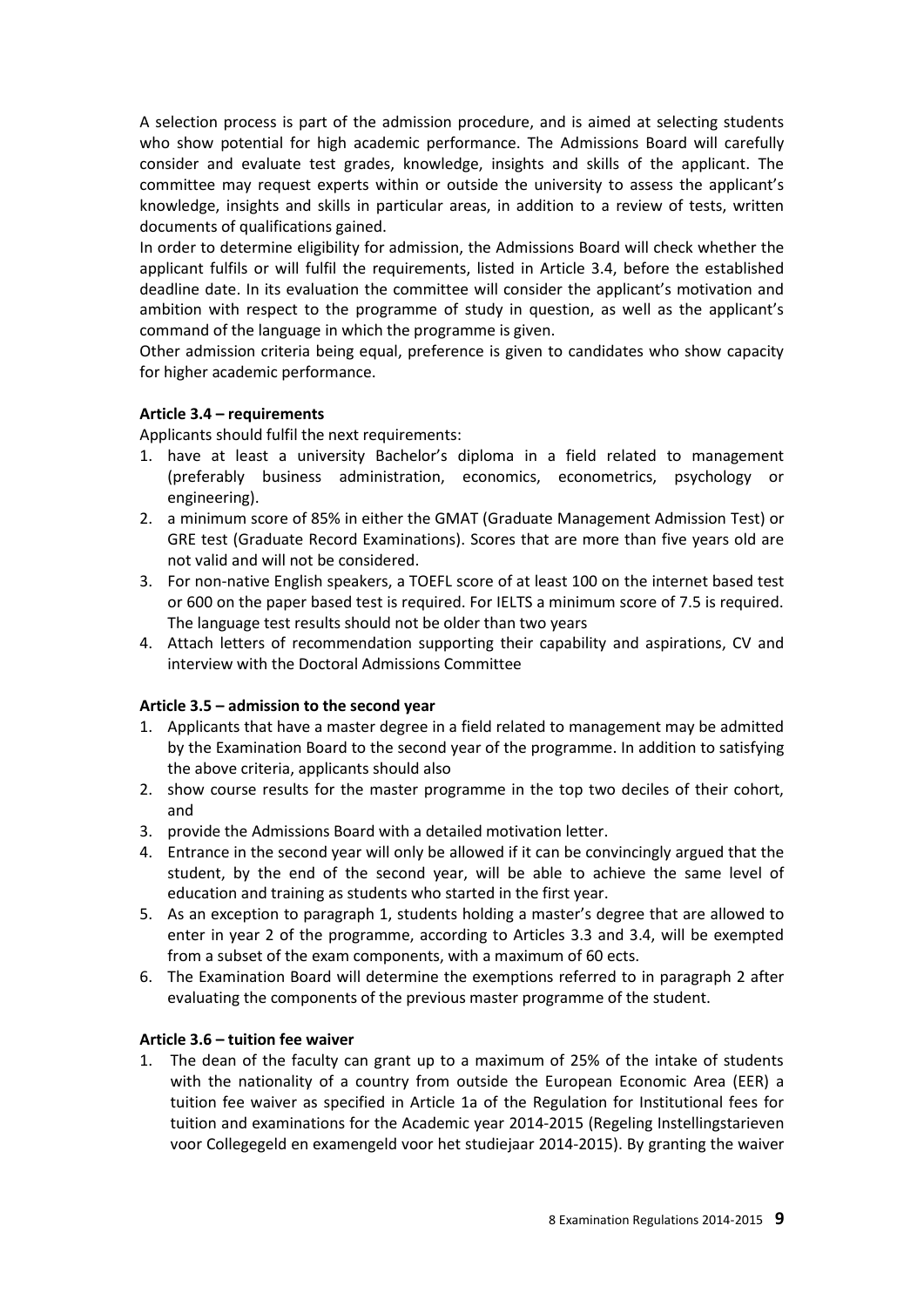A selection process is part of the admission procedure, and is aimed at selecting students who show potential for high academic performance. The Admissions Board will carefully consider and evaluate test grades, knowledge, insights and skills of the applicant. The committee may request experts within or outside the university to assess the applicant's knowledge, insights and skills in particular areas, in addition to a review of tests, written documents of qualifications gained.

In order to determine eligibility for admission, the Admissions Board will check whether the applicant fulfils or will fulfil the requirements, listed in Article 3.4, before the established deadline date. In its evaluation the committee will consider the applicant's motivation and ambition with respect to the programme of study in question, as well as the applicant's command of the language in which the programme is given.

Other admission criteria being equal, preference is given to candidates who show capacity for higher academic performance.

#### **Article 3.4 – requirements**

Applicants should fulfil the next requirements:

- 1. have at least a university Bachelor's diploma in a field related to management (preferably business administration, economics, econometrics, psychology or engineering).
- 2. a minimum score of 85% in either the GMAT (Graduate Management Admission Test) or GRE test (Graduate Record Examinations). Scores that are more than five years old are not valid and will not be considered.
- 3. For non-native English speakers, a TOEFL score of at least 100 on the internet based test or 600 on the paper based test is required. For IELTS a minimum score of 7.5 is required. The language test results should not be older than two years
- 4. Attach letters of recommendation supporting their capability and aspirations, CV and interview with the Doctoral Admissions Committee

#### **Article 3.5 – admission to the second year**

- 1. Applicants that have a master degree in a field related to management may be admitted by the Examination Board to the second year of the programme. In addition to satisfying the above criteria, applicants should also
- 2. show course results for the master programme in the top two deciles of their cohort, and
- 3. provide the Admissions Board with a detailed motivation letter.
- 4. Entrance in the second year will only be allowed if it can be convincingly argued that the student, by the end of the second year, will be able to achieve the same level of education and training as students who started in the first year.
- 5. As an exception to paragraph 1, students holding a master's degree that are allowed to enter in year 2 of the programme, according to Articles 3.3 and 3.4, will be exempted from a subset of the exam components, with a maximum of 60 ects.
- 6. The Examination Board will determine the exemptions referred to in paragraph 2 after evaluating the components of the previous master programme of the student.

#### **Article 3.6 – tuition fee waiver**

1. The dean of the faculty can grant up to a maximum of 25% of the intake of students with the nationality of a country from outside the European Economic Area (EER) a tuition fee waiver as specified in Article 1a of the Regulation for Institutional fees for tuition and examinations for the Academic year 2014-2015 (Regeling Instellingstarieven voor Collegegeld en examengeld voor het studiejaar 2014-2015). By granting the waiver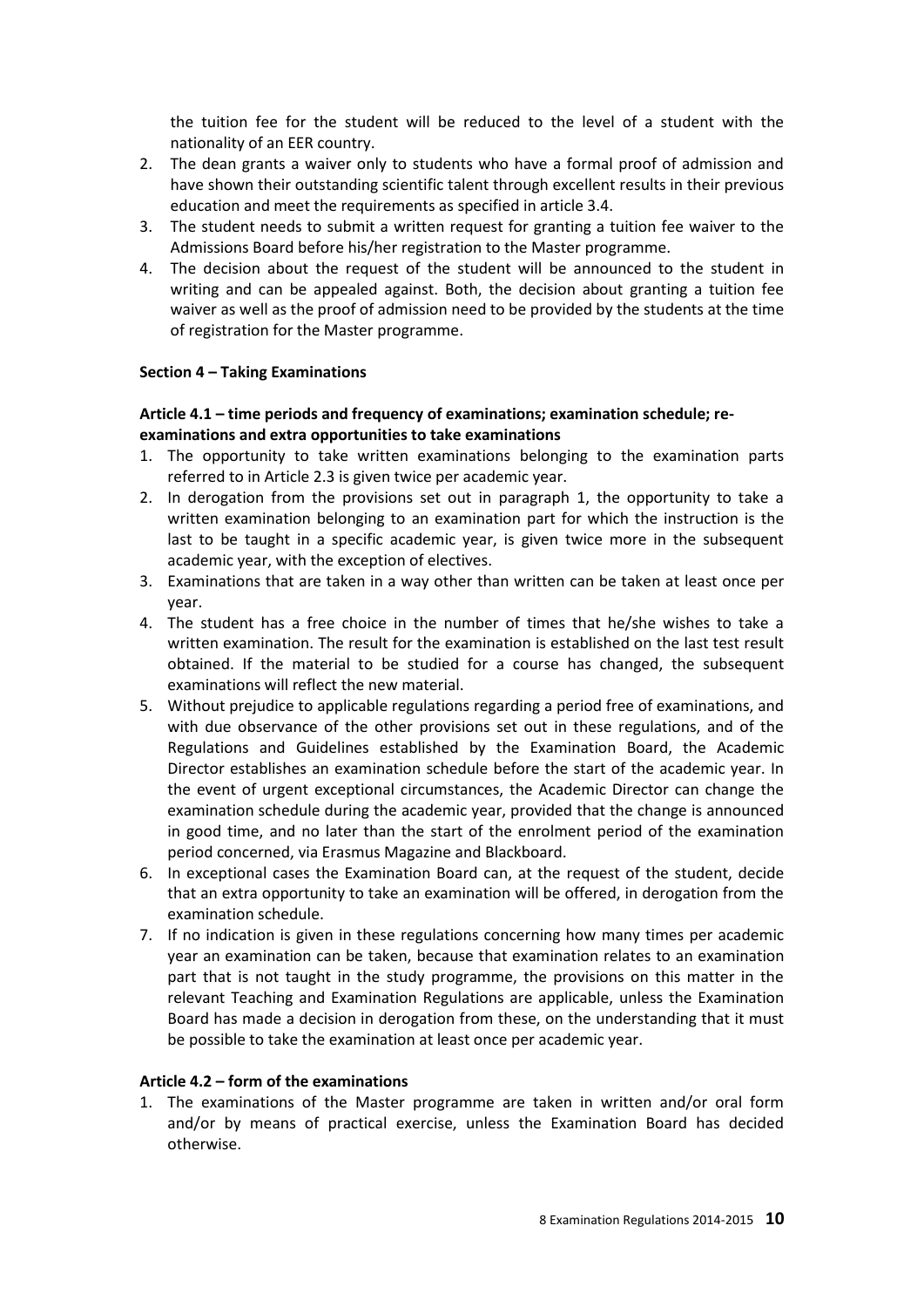the tuition fee for the student will be reduced to the level of a student with the nationality of an EER country.

- 2. The dean grants a waiver only to students who have a formal proof of admission and have shown their outstanding scientific talent through excellent results in their previous education and meet the requirements as specified in article 3.4.
- 3. The student needs to submit a written request for granting a tuition fee waiver to the Admissions Board before his/her registration to the Master programme.
- 4. The decision about the request of the student will be announced to the student in writing and can be appealed against. Both, the decision about granting a tuition fee waiver as well as the proof of admission need to be provided by the students at the time of registration for the Master programme.

#### **Section 4 – Taking Examinations**

#### **Article 4.1 – time periods and frequency of examinations; examination schedule; reexaminations and extra opportunities to take examinations**

- 1. The opportunity to take written examinations belonging to the examination parts referred to in Article 2.3 is given twice per academic year.
- 2. In derogation from the provisions set out in paragraph 1, the opportunity to take a written examination belonging to an examination part for which the instruction is the last to be taught in a specific academic year, is given twice more in the subsequent academic year, with the exception of electives.
- 3. Examinations that are taken in a way other than written can be taken at least once per year.
- 4. The student has a free choice in the number of times that he/she wishes to take a written examination. The result for the examination is established on the last test result obtained. If the material to be studied for a course has changed, the subsequent examinations will reflect the new material.
- 5. Without prejudice to applicable regulations regarding a period free of examinations, and with due observance of the other provisions set out in these regulations, and of the Regulations and Guidelines established by the Examination Board, the Academic Director establishes an examination schedule before the start of the academic year. In the event of urgent exceptional circumstances, the Academic Director can change the examination schedule during the academic year, provided that the change is announced in good time, and no later than the start of the enrolment period of the examination period concerned, via Erasmus Magazine and Blackboard.
- 6. In exceptional cases the Examination Board can, at the request of the student, decide that an extra opportunity to take an examination will be offered, in derogation from the examination schedule.
- 7. If no indication is given in these regulations concerning how many times per academic year an examination can be taken, because that examination relates to an examination part that is not taught in the study programme, the provisions on this matter in the relevant Teaching and Examination Regulations are applicable, unless the Examination Board has made a decision in derogation from these, on the understanding that it must be possible to take the examination at least once per academic year.

#### **Article 4.2 – form of the examinations**

1. The examinations of the Master programme are taken in written and/or oral form and/or by means of practical exercise, unless the Examination Board has decided otherwise.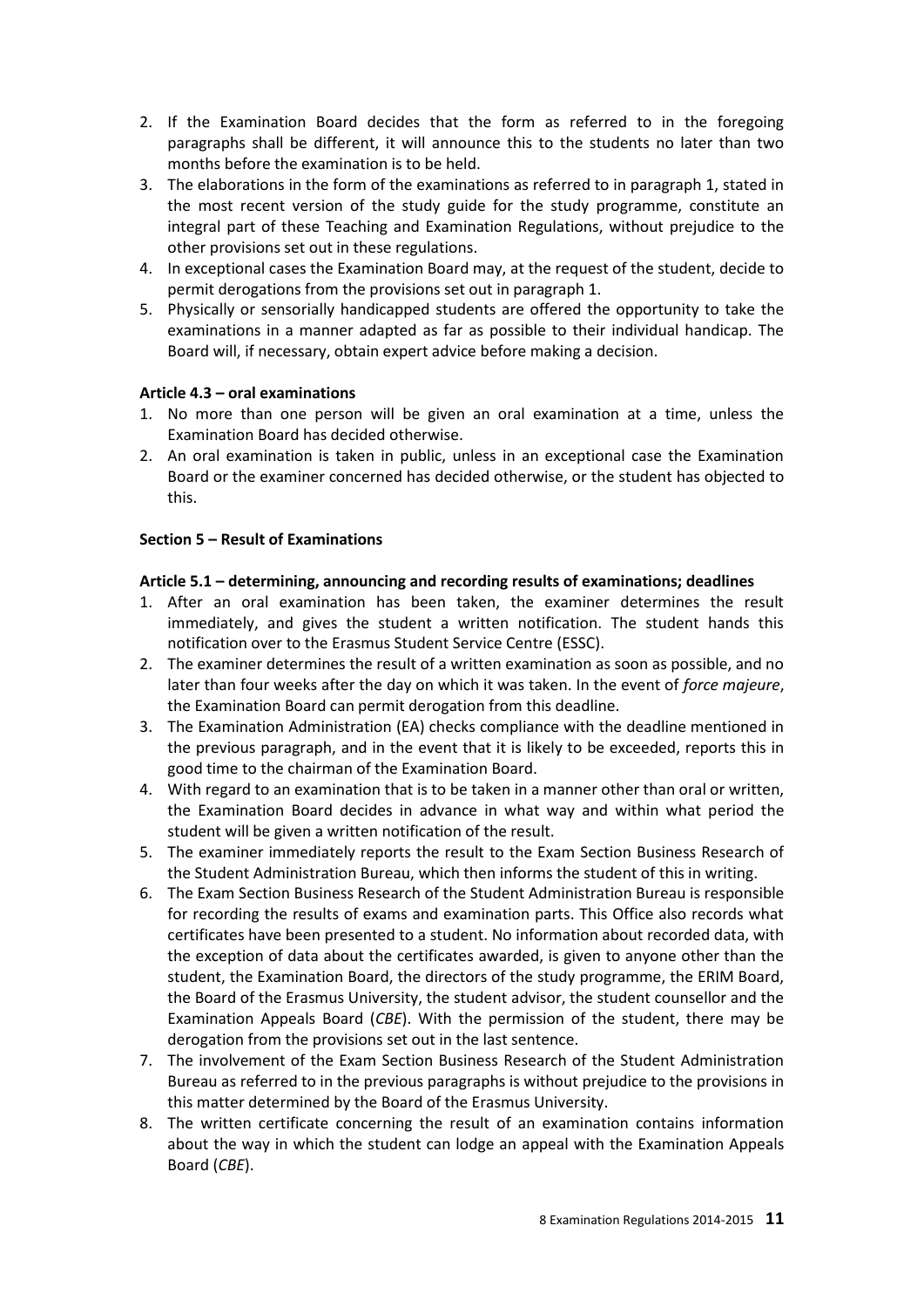- 2. If the Examination Board decides that the form as referred to in the foregoing paragraphs shall be different, it will announce this to the students no later than two months before the examination is to be held.
- 3. The elaborations in the form of the examinations as referred to in paragraph 1, stated in the most recent version of the study guide for the study programme, constitute an integral part of these Teaching and Examination Regulations, without prejudice to the other provisions set out in these regulations.
- 4. In exceptional cases the Examination Board may, at the request of the student, decide to permit derogations from the provisions set out in paragraph 1.
- 5. Physically or sensorially handicapped students are offered the opportunity to take the examinations in a manner adapted as far as possible to their individual handicap. The Board will, if necessary, obtain expert advice before making a decision.

#### **Article 4.3 – oral examinations**

- 1. No more than one person will be given an oral examination at a time, unless the Examination Board has decided otherwise.
- 2. An oral examination is taken in public, unless in an exceptional case the Examination Board or the examiner concerned has decided otherwise, or the student has objected to this.

#### **Section 5 – Result of Examinations**

#### **Article 5.1 – determining, announcing and recording results of examinations; deadlines**

- 1. After an oral examination has been taken, the examiner determines the result immediately, and gives the student a written notification. The student hands this notification over to the Erasmus Student Service Centre (ESSC).
- 2. The examiner determines the result of a written examination as soon as possible, and no later than four weeks after the day on which it was taken. In the event of *force majeure*, the Examination Board can permit derogation from this deadline.
- 3. The Examination Administration (EA) checks compliance with the deadline mentioned in the previous paragraph, and in the event that it is likely to be exceeded, reports this in good time to the chairman of the Examination Board.
- 4. With regard to an examination that is to be taken in a manner other than oral or written, the Examination Board decides in advance in what way and within what period the student will be given a written notification of the result.
- 5. The examiner immediately reports the result to the Exam Section Business Research of the Student Administration Bureau, which then informs the student of this in writing.
- 6. The Exam Section Business Research of the Student Administration Bureau is responsible for recording the results of exams and examination parts. This Office also records what certificates have been presented to a student. No information about recorded data, with the exception of data about the certificates awarded, is given to anyone other than the student, the Examination Board, the directors of the study programme, the ERIM Board, the Board of the Erasmus University, the student advisor, the student counsellor and the Examination Appeals Board (*CBE*). With the permission of the student, there may be derogation from the provisions set out in the last sentence.
- 7. The involvement of the Exam Section Business Research of the Student Administration Bureau as referred to in the previous paragraphs is without prejudice to the provisions in this matter determined by the Board of the Erasmus University.
- 8. The written certificate concerning the result of an examination contains information about the way in which the student can lodge an appeal with the Examination Appeals Board (*CBE*).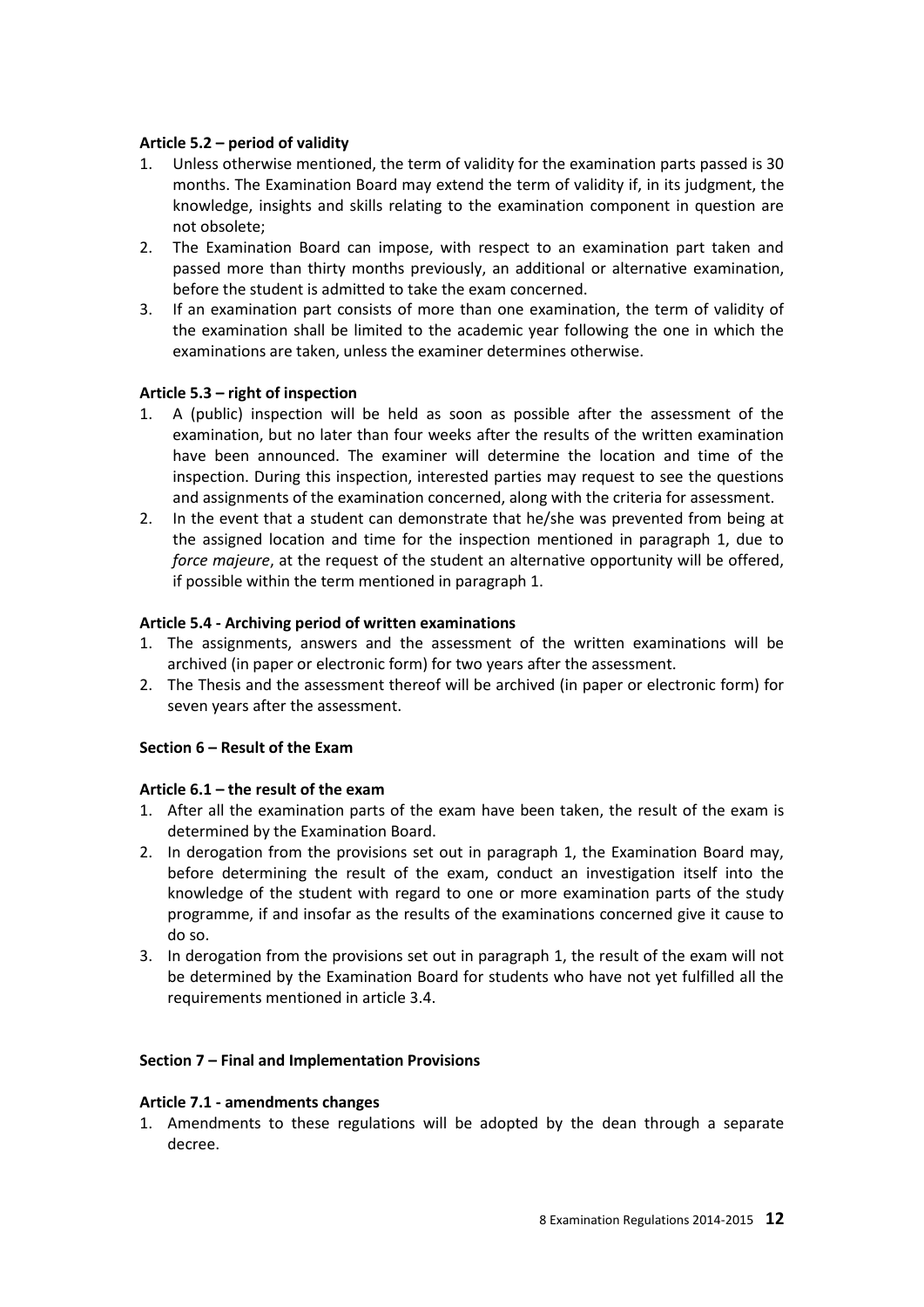#### **Article 5.2 – period of validity**

- 1. Unless otherwise mentioned, the term of validity for the examination parts passed is 30 months. The Examination Board may extend the term of validity if, in its judgment, the knowledge, insights and skills relating to the examination component in question are not obsolete;
- 2. The Examination Board can impose, with respect to an examination part taken and passed more than thirty months previously, an additional or alternative examination, before the student is admitted to take the exam concerned.
- 3. If an examination part consists of more than one examination, the term of validity of the examination shall be limited to the academic year following the one in which the examinations are taken, unless the examiner determines otherwise.

#### **Article 5.3 – right of inspection**

- 1. A (public) inspection will be held as soon as possible after the assessment of the examination, but no later than four weeks after the results of the written examination have been announced. The examiner will determine the location and time of the inspection. During this inspection, interested parties may request to see the questions and assignments of the examination concerned, along with the criteria for assessment.
- 2. In the event that a student can demonstrate that he/she was prevented from being at the assigned location and time for the inspection mentioned in paragraph 1, due to *force majeure*, at the request of the student an alternative opportunity will be offered, if possible within the term mentioned in paragraph 1.

#### **Article 5.4 - Archiving period of written examinations**

- 1. The assignments, answers and the assessment of the written examinations will be archived (in paper or electronic form) for two years after the assessment.
- 2. The Thesis and the assessment thereof will be archived (in paper or electronic form) for seven years after the assessment.

## **Section 6 – Result of the Exam**

#### **Article 6.1 – the result of the exam**

- 1. After all the examination parts of the exam have been taken, the result of the exam is determined by the Examination Board.
- 2. In derogation from the provisions set out in paragraph 1, the Examination Board may, before determining the result of the exam, conduct an investigation itself into the knowledge of the student with regard to one or more examination parts of the study programme, if and insofar as the results of the examinations concerned give it cause to do so.
- 3. In derogation from the provisions set out in paragraph 1, the result of the exam will not be determined by the Examination Board for students who have not yet fulfilled all the requirements mentioned in article 3.4.

#### **Section 7 – Final and Implementation Provisions**

#### **Article 7.1 - amendments changes**

1. Amendments to these regulations will be adopted by the dean through a separate decree.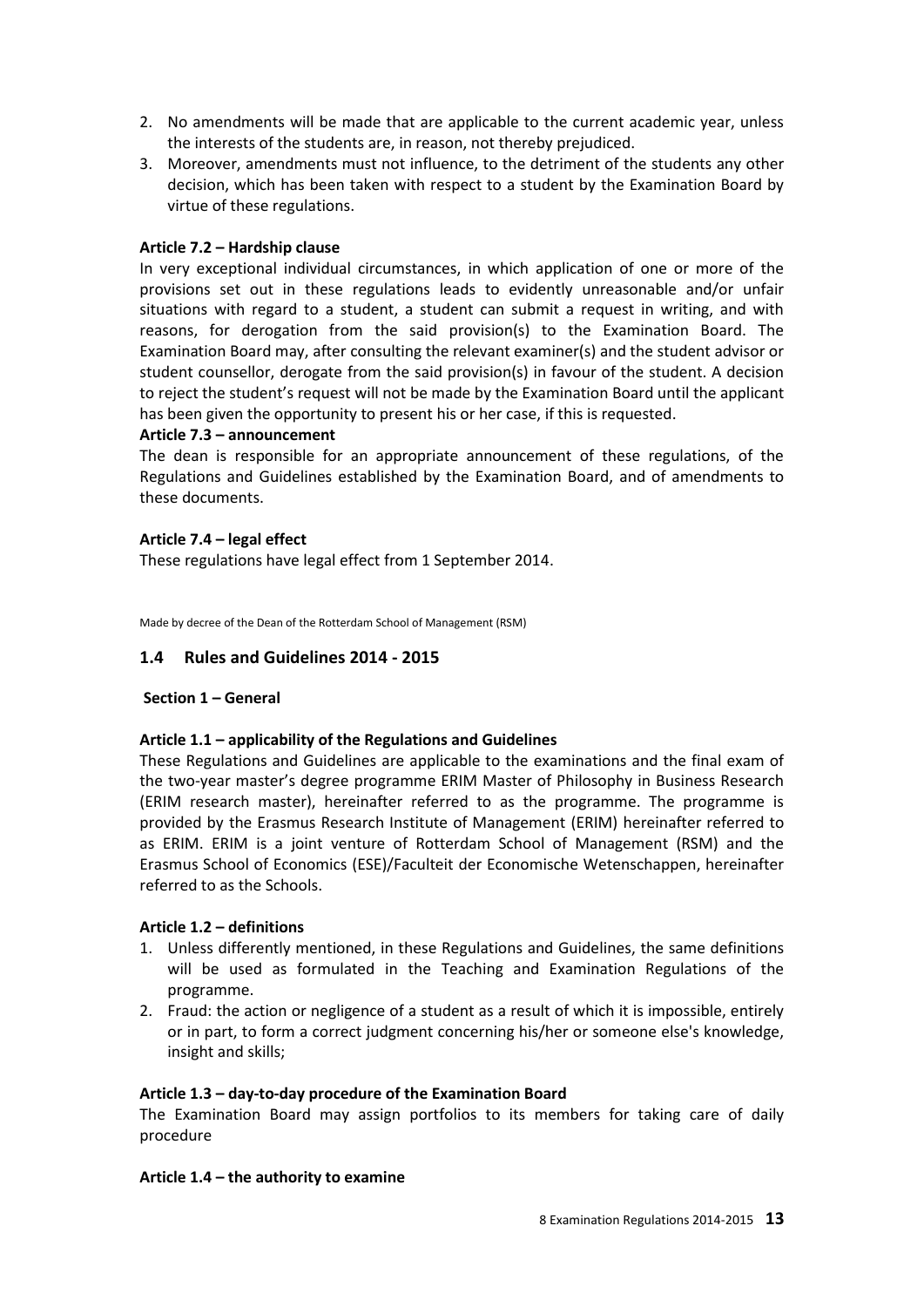- 2. No amendments will be made that are applicable to the current academic year, unless the interests of the students are, in reason, not thereby prejudiced.
- 3. Moreover, amendments must not influence, to the detriment of the students any other decision, which has been taken with respect to a student by the Examination Board by virtue of these regulations.

#### **Article 7.2 – Hardship clause**

In very exceptional individual circumstances, in which application of one or more of the provisions set out in these regulations leads to evidently unreasonable and/or unfair situations with regard to a student, a student can submit a request in writing, and with reasons, for derogation from the said provision(s) to the Examination Board. The Examination Board may, after consulting the relevant examiner(s) and the student advisor or student counsellor, derogate from the said provision(s) in favour of the student. A decision to reject the student's request will not be made by the Examination Board until the applicant has been given the opportunity to present his or her case, if this is requested.

#### **Article 7.3 – announcement**

The dean is responsible for an appropriate announcement of these regulations, of the Regulations and Guidelines established by the Examination Board, and of amendments to these documents.

#### **Article 7.4 – legal effect**

These regulations have legal effect from 1 September 2014.

Made by decree of the Dean of the Rotterdam School of Management (RSM)

## **1.4 Rules and Guidelines 2014 - 2015**

## **Section 1 – General**

## **Article 1.1 – applicability of the Regulations and Guidelines**

These Regulations and Guidelines are applicable to the examinations and the final exam of the two-year master's degree programme ERIM Master of Philosophy in Business Research (ERIM research master), hereinafter referred to as the programme. The programme is provided by the Erasmus Research Institute of Management (ERIM) hereinafter referred to as ERIM. ERIM is a joint venture of Rotterdam School of Management (RSM) and the Erasmus School of Economics (ESE)/Faculteit der Economische Wetenschappen, hereinafter referred to as the Schools.

## **Article 1.2 – definitions**

- 1. Unless differently mentioned, in these Regulations and Guidelines, the same definitions will be used as formulated in the Teaching and Examination Regulations of the programme.
- 2. Fraud: the action or negligence of a student as a result of which it is impossible, entirely or in part, to form a correct judgment concerning his/her or someone else's knowledge, insight and skills;

#### **Article 1.3 – day-to-day procedure of the Examination Board**

The Examination Board may assign portfolios to its members for taking care of daily procedure

#### **Article 1.4 – the authority to examine**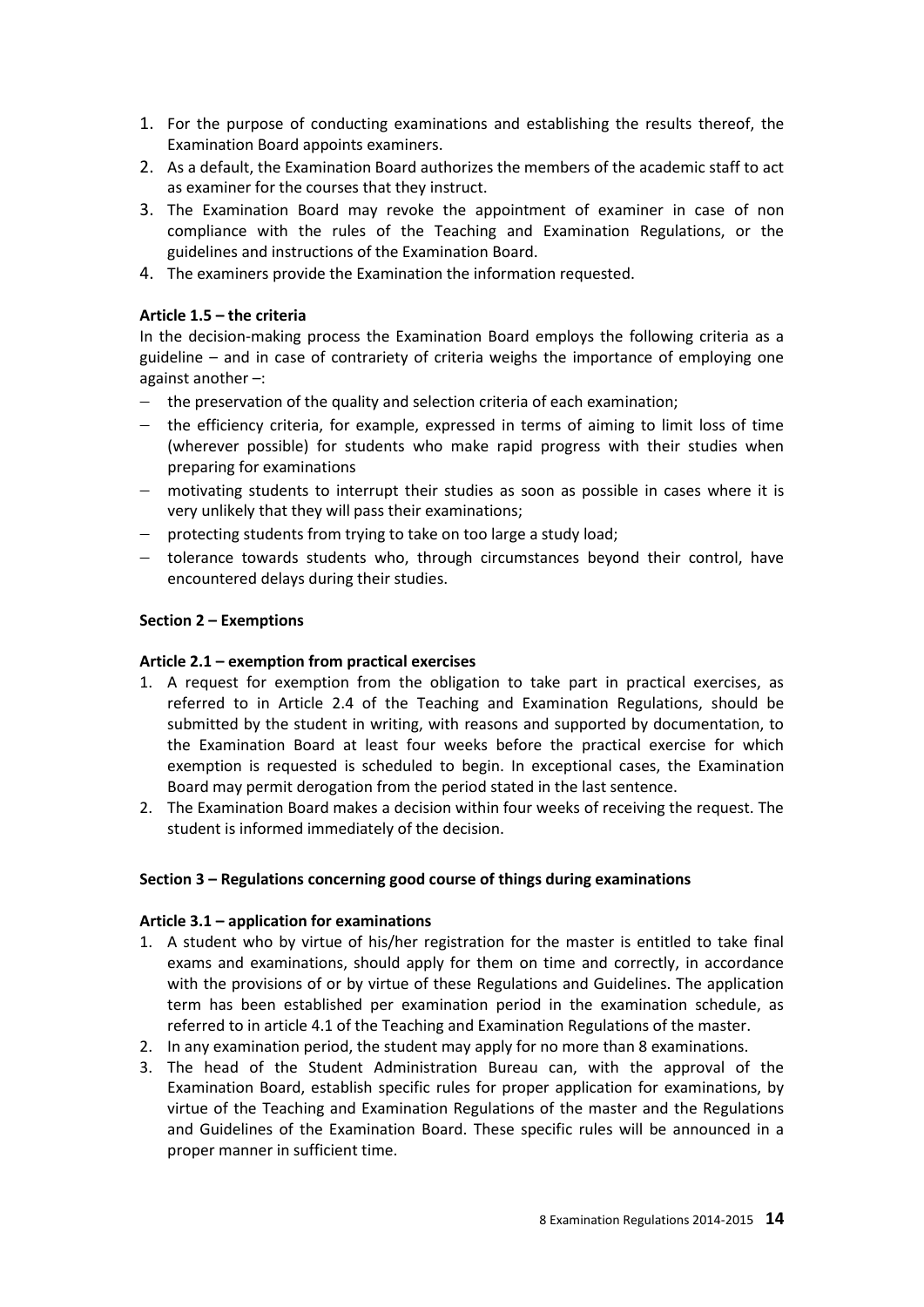- 1. For the purpose of conducting examinations and establishing the results thereof, the Examination Board appoints examiners.
- 2. As a default, the Examination Board authorizes the members of the academic staff to act as examiner for the courses that they instruct.
- 3. The Examination Board may revoke the appointment of examiner in case of non compliance with the rules of the Teaching and Examination Regulations, or the guidelines and instructions of the Examination Board.
- 4. The examiners provide the Examination the information requested.

#### **Article 1.5 – the criteria**

In the decision-making process the Examination Board employs the following criteria as a guideline – and in case of contrariety of criteria weighs the importance of employing one against another –:

- $-$  the preservation of the quality and selection criteria of each examination;
- $-$  the efficiency criteria, for example, expressed in terms of aiming to limit loss of time (wherever possible) for students who make rapid progress with their studies when preparing for examinations
- motivating students to interrupt their studies as soon as possible in cases where it is very unlikely that they will pass their examinations;
- $p -$  protecting students from trying to take on too large a study load;
- tolerance towards students who, through circumstances beyond their control, have encountered delays during their studies.

#### **Section 2 – Exemptions**

#### **Article 2.1 – exemption from practical exercises**

- 1. A request for exemption from the obligation to take part in practical exercises, as referred to in Article 2.4 of the Teaching and Examination Regulations, should be submitted by the student in writing, with reasons and supported by documentation, to the Examination Board at least four weeks before the practical exercise for which exemption is requested is scheduled to begin. In exceptional cases, the Examination Board may permit derogation from the period stated in the last sentence.
- 2. The Examination Board makes a decision within four weeks of receiving the request. The student is informed immediately of the decision.

#### **Section 3 – Regulations concerning good course of things during examinations**

#### **Article 3.1 – application for examinations**

- 1. A student who by virtue of his/her registration for the master is entitled to take final exams and examinations, should apply for them on time and correctly, in accordance with the provisions of or by virtue of these Regulations and Guidelines. The application term has been established per examination period in the examination schedule, as referred to in article 4.1 of the Teaching and Examination Regulations of the master.
- 2. In any examination period, the student may apply for no more than 8 examinations.
- 3. The head of the Student Administration Bureau can, with the approval of the Examination Board, establish specific rules for proper application for examinations, by virtue of the Teaching and Examination Regulations of the master and the Regulations and Guidelines of the Examination Board. These specific rules will be announced in a proper manner in sufficient time.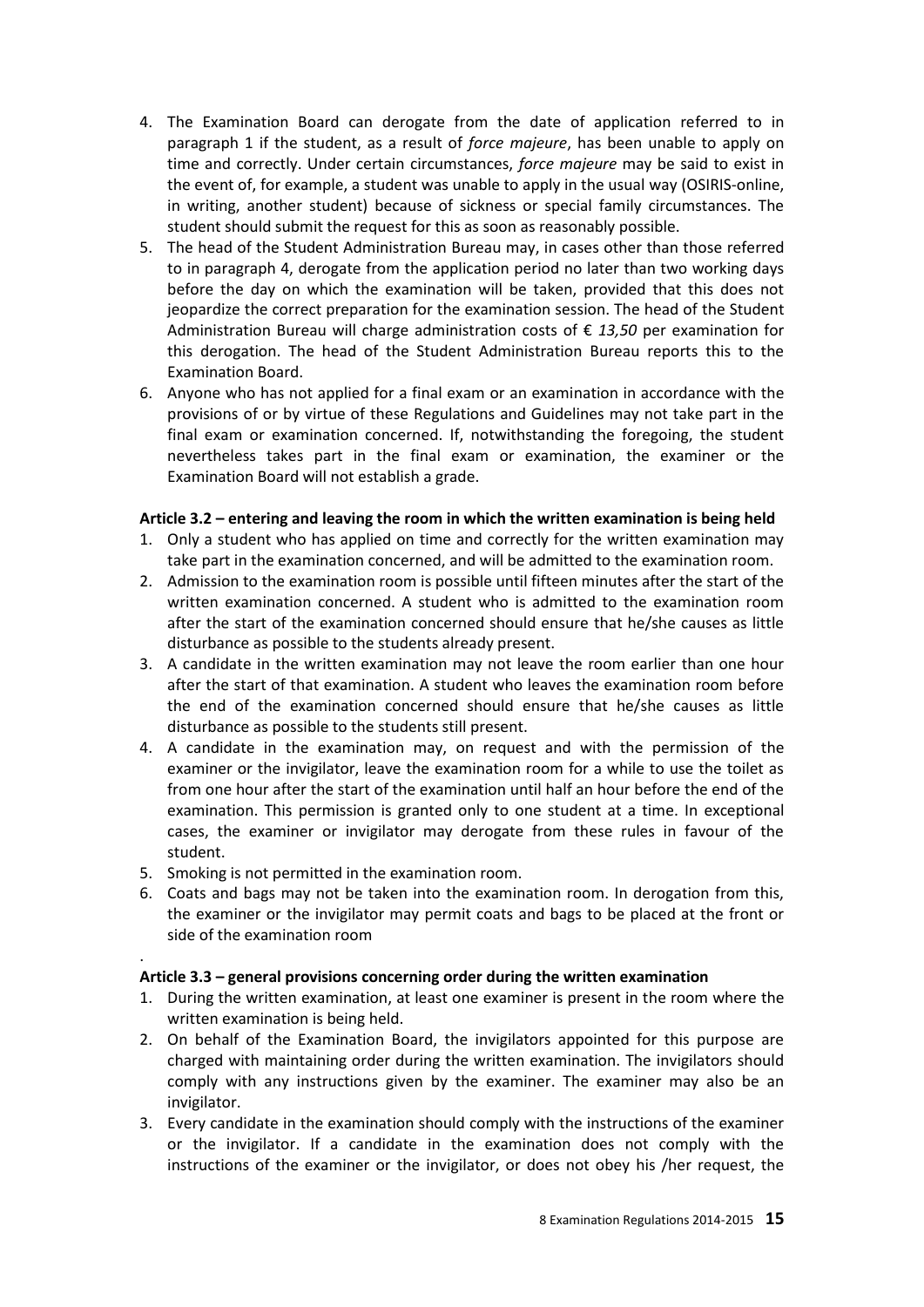- 4. The Examination Board can derogate from the date of application referred to in paragraph 1 if the student, as a result of *force majeure*, has been unable to apply on time and correctly. Under certain circumstances, *force majeure* may be said to exist in the event of, for example, a student was unable to apply in the usual way (OSIRIS-online, in writing, another student) because of sickness or special family circumstances. The student should submit the request for this as soon as reasonably possible.
- 5. The head of the Student Administration Bureau may, in cases other than those referred to in paragraph 4, derogate from the application period no later than two working days before the day on which the examination will be taken, provided that this does not jeopardize the correct preparation for the examination session. The head of the Student Administration Bureau will charge administration costs of € *13,50* per examination for this derogation. The head of the Student Administration Bureau reports this to the Examination Board.
- 6. Anyone who has not applied for a final exam or an examination in accordance with the provisions of or by virtue of these Regulations and Guidelines may not take part in the final exam or examination concerned. If, notwithstanding the foregoing, the student nevertheless takes part in the final exam or examination, the examiner or the Examination Board will not establish a grade.

#### **Article 3.2 – entering and leaving the room in which the written examination is being held**

- 1. Only a student who has applied on time and correctly for the written examination may take part in the examination concerned, and will be admitted to the examination room.
- 2. Admission to the examination room is possible until fifteen minutes after the start of the written examination concerned. A student who is admitted to the examination room after the start of the examination concerned should ensure that he/she causes as little disturbance as possible to the students already present.
- 3. A candidate in the written examination may not leave the room earlier than one hour after the start of that examination. A student who leaves the examination room before the end of the examination concerned should ensure that he/she causes as little disturbance as possible to the students still present.
- 4. A candidate in the examination may, on request and with the permission of the examiner or the invigilator, leave the examination room for a while to use the toilet as from one hour after the start of the examination until half an hour before the end of the examination. This permission is granted only to one student at a time. In exceptional cases, the examiner or invigilator may derogate from these rules in favour of the student.
- 5. Smoking is not permitted in the examination room.

.

6. Coats and bags may not be taken into the examination room. In derogation from this, the examiner or the invigilator may permit coats and bags to be placed at the front or side of the examination room

## **Article 3.3 – general provisions concerning order during the written examination**

- 1. During the written examination, at least one examiner is present in the room where the written examination is being held.
- 2. On behalf of the Examination Board, the invigilators appointed for this purpose are charged with maintaining order during the written examination. The invigilators should comply with any instructions given by the examiner. The examiner may also be an invigilator.
- 3. Every candidate in the examination should comply with the instructions of the examiner or the invigilator. If a candidate in the examination does not comply with the instructions of the examiner or the invigilator, or does not obey his /her request, the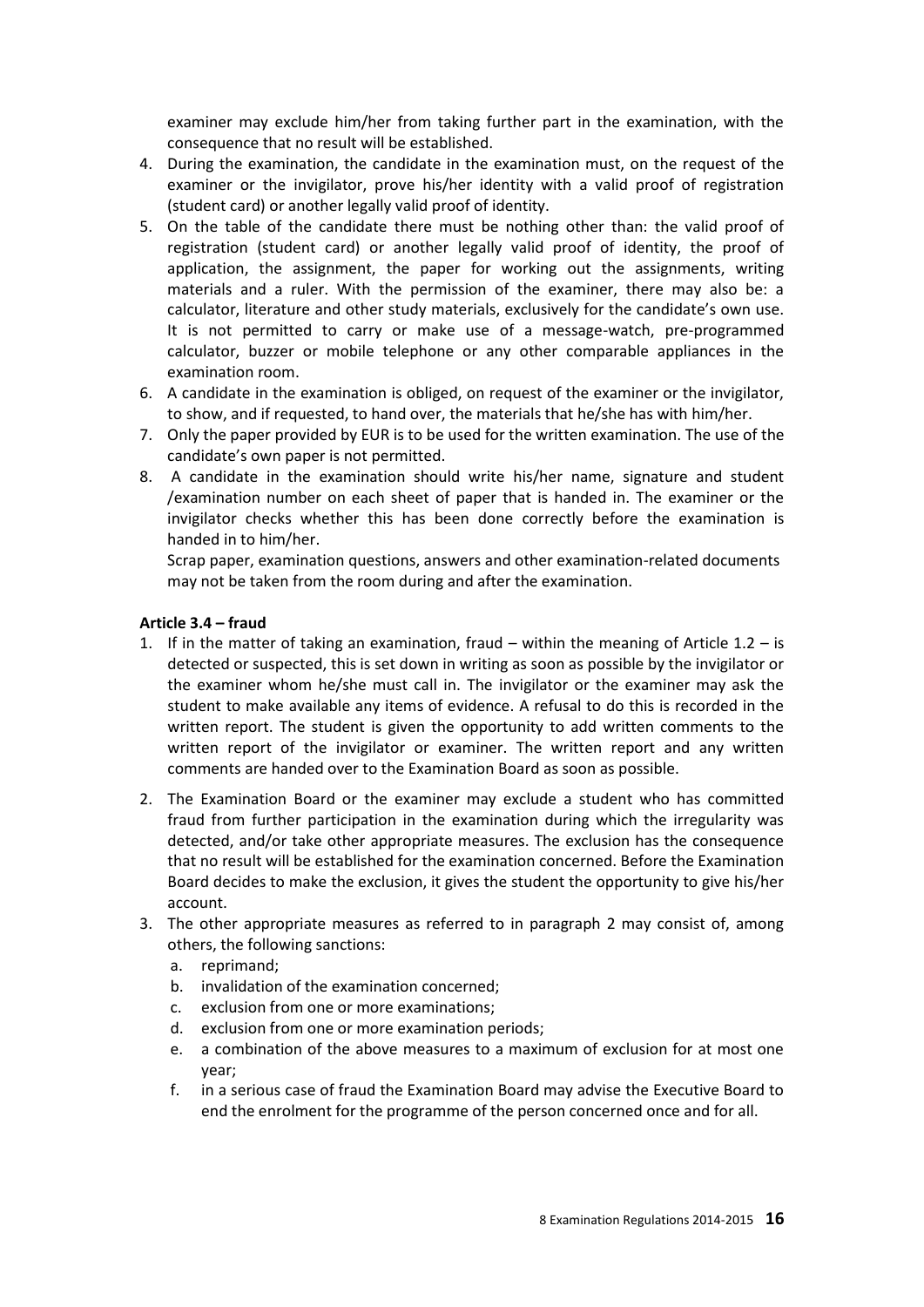examiner may exclude him/her from taking further part in the examination, with the consequence that no result will be established.

- 4. During the examination, the candidate in the examination must, on the request of the examiner or the invigilator, prove his/her identity with a valid proof of registration (student card) or another legally valid proof of identity.
- 5. On the table of the candidate there must be nothing other than: the valid proof of registration (student card) or another legally valid proof of identity, the proof of application, the assignment, the paper for working out the assignments, writing materials and a ruler. With the permission of the examiner, there may also be: a calculator, literature and other study materials, exclusively for the candidate's own use. It is not permitted to carry or make use of a message-watch, pre-programmed calculator, buzzer or mobile telephone or any other comparable appliances in the examination room.
- 6. A candidate in the examination is obliged, on request of the examiner or the invigilator, to show, and if requested, to hand over, the materials that he/she has with him/her.
- 7. Only the paper provided by EUR is to be used for the written examination. The use of the candidate's own paper is not permitted.
- 8. A candidate in the examination should write his/her name, signature and student /examination number on each sheet of paper that is handed in. The examiner or the invigilator checks whether this has been done correctly before the examination is handed in to him/her.

Scrap paper, examination questions, answers and other examination-related documents may not be taken from the room during and after the examination.

#### **Article 3.4 – fraud**

- 1. If in the matter of taking an examination, fraud  $-$  within the meaning of Article 1.2  $-$  is detected or suspected, this is set down in writing as soon as possible by the invigilator or the examiner whom he/she must call in. The invigilator or the examiner may ask the student to make available any items of evidence. A refusal to do this is recorded in the written report. The student is given the opportunity to add written comments to the written report of the invigilator or examiner. The written report and any written comments are handed over to the Examination Board as soon as possible.
- 2. The Examination Board or the examiner may exclude a student who has committed fraud from further participation in the examination during which the irregularity was detected, and/or take other appropriate measures. The exclusion has the consequence that no result will be established for the examination concerned. Before the Examination Board decides to make the exclusion, it gives the student the opportunity to give his/her account.
- 3. The other appropriate measures as referred to in paragraph 2 may consist of, among others, the following sanctions:
	- a. reprimand;
	- b. invalidation of the examination concerned;
	- c. exclusion from one or more examinations;
	- d. exclusion from one or more examination periods;
	- e. a combination of the above measures to a maximum of exclusion for at most one year;
	- f. in a serious case of fraud the Examination Board may advise the Executive Board to end the enrolment for the programme of the person concerned once and for all.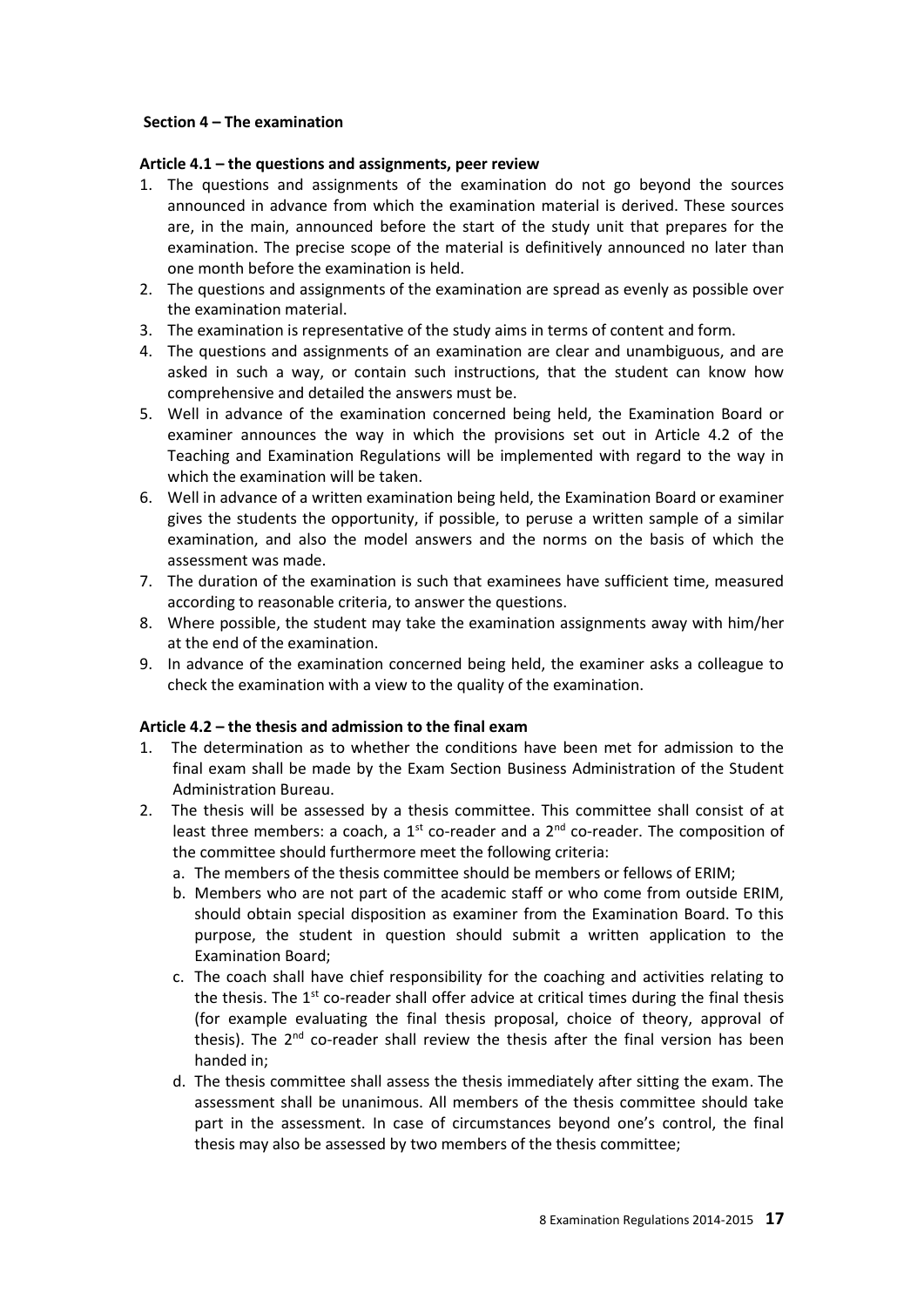#### **Section 4 – The examination**

#### **Article 4.1 – the questions and assignments, peer review**

- 1. The questions and assignments of the examination do not go beyond the sources announced in advance from which the examination material is derived. These sources are, in the main, announced before the start of the study unit that prepares for the examination. The precise scope of the material is definitively announced no later than one month before the examination is held.
- 2. The questions and assignments of the examination are spread as evenly as possible over the examination material.
- 3. The examination is representative of the study aims in terms of content and form.
- 4. The questions and assignments of an examination are clear and unambiguous, and are asked in such a way, or contain such instructions, that the student can know how comprehensive and detailed the answers must be.
- 5. Well in advance of the examination concerned being held, the Examination Board or examiner announces the way in which the provisions set out in Article 4.2 of the Teaching and Examination Regulations will be implemented with regard to the way in which the examination will be taken.
- 6. Well in advance of a written examination being held, the Examination Board or examiner gives the students the opportunity, if possible, to peruse a written sample of a similar examination, and also the model answers and the norms on the basis of which the assessment was made.
- 7. The duration of the examination is such that examinees have sufficient time, measured according to reasonable criteria, to answer the questions.
- 8. Where possible, the student may take the examination assignments away with him/her at the end of the examination.
- 9. In advance of the examination concerned being held, the examiner asks a colleague to check the examination with a view to the quality of the examination.

## **Article 4.2 – the thesis and admission to the final exam**

- 1. The determination as to whether the conditions have been met for admission to the final exam shall be made by the Exam Section Business Administration of the Student Administration Bureau.
- 2. The thesis will be assessed by a thesis committee. This committee shall consist of at least three members: a coach, a 1<sup>st</sup> co-reader and a  $2<sup>nd</sup>$  co-reader. The composition of the committee should furthermore meet the following criteria:
	- a. The members of the thesis committee should be members or fellows of ERIM;
	- b. Members who are not part of the academic staff or who come from outside ERIM, should obtain special disposition as examiner from the Examination Board. To this purpose, the student in question should submit a written application to the Examination Board;
	- c. The coach shall have chief responsibility for the coaching and activities relating to the thesis. The  $1<sup>st</sup>$  co-reader shall offer advice at critical times during the final thesis (for example evaluating the final thesis proposal, choice of theory, approval of thesis). The  $2^{nd}$  co-reader shall review the thesis after the final version has been handed in;
	- d. The thesis committee shall assess the thesis immediately after sitting the exam. The assessment shall be unanimous. All members of the thesis committee should take part in the assessment. In case of circumstances beyond one's control, the final thesis may also be assessed by two members of the thesis committee;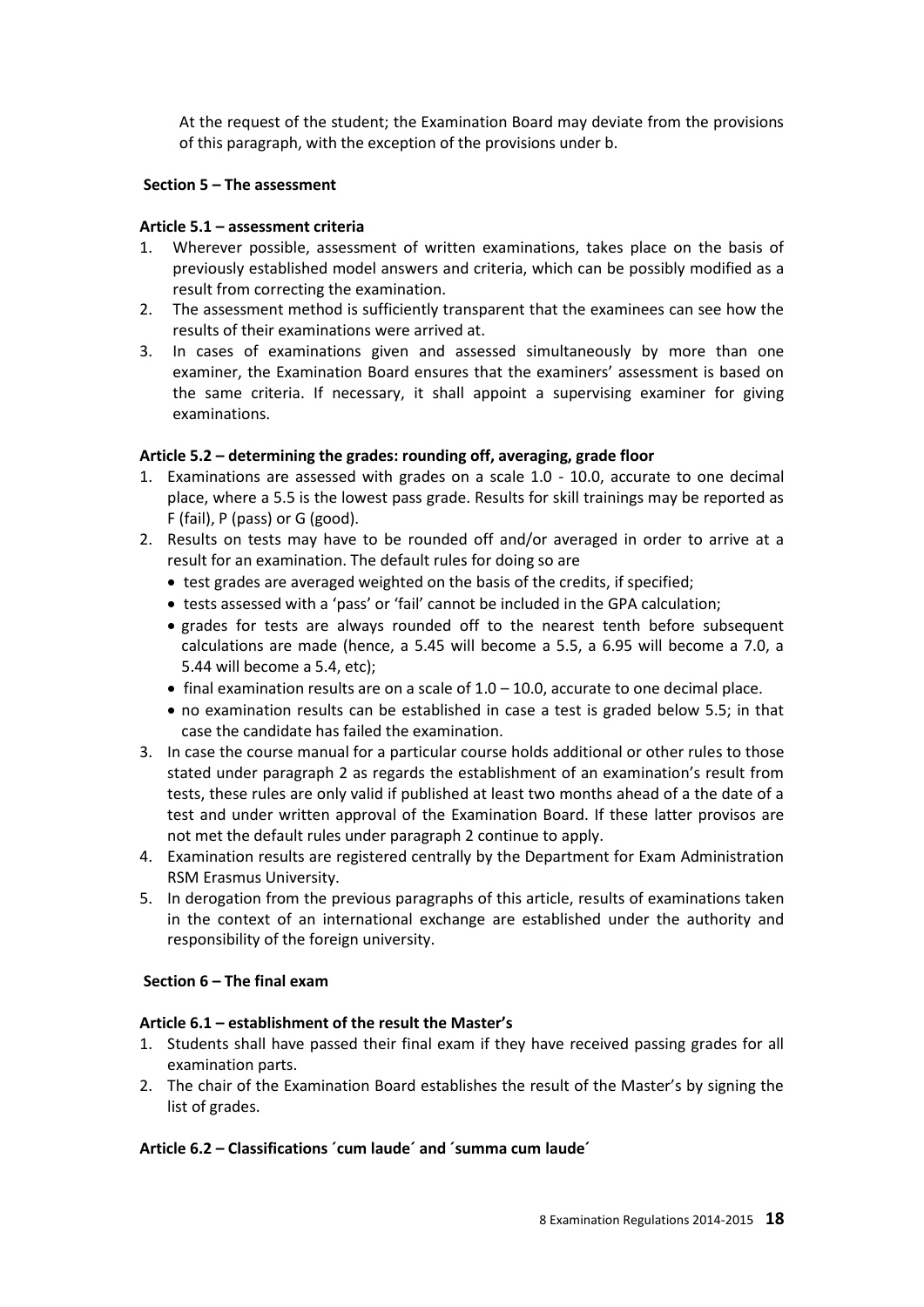At the request of the student; the Examination Board may deviate from the provisions of this paragraph, with the exception of the provisions under b.

#### **Section 5 – The assessment**

#### **Article 5.1 – assessment criteria**

- 1. Wherever possible, assessment of written examinations, takes place on the basis of previously established model answers and criteria, which can be possibly modified as a result from correcting the examination.
- 2. The assessment method is sufficiently transparent that the examinees can see how the results of their examinations were arrived at.
- 3. In cases of examinations given and assessed simultaneously by more than one examiner, the Examination Board ensures that the examiners' assessment is based on the same criteria. If necessary, it shall appoint a supervising examiner for giving examinations.

#### **Article 5.2 – determining the grades: rounding off, averaging, grade floor**

- 1. Examinations are assessed with grades on a scale 1.0 10.0, accurate to one decimal place, where a 5.5 is the lowest pass grade. Results for skill trainings may be reported as F (fail), P (pass) or G (good).
- 2. Results on tests may have to be rounded off and/or averaged in order to arrive at a result for an examination. The default rules for doing so are
	- test grades are averaged weighted on the basis of the credits, if specified;
	- tests assessed with a 'pass' or 'fail' cannot be included in the GPA calculation;
	- grades for tests are always rounded off to the nearest tenth before subsequent calculations are made (hence, a 5.45 will become a 5.5, a 6.95 will become a 7.0, a 5.44 will become a 5.4, etc);
	- $\bullet$  final examination results are on a scale of  $1.0 10.0$ , accurate to one decimal place.
	- no examination results can be established in case a test is graded below 5.5; in that case the candidate has failed the examination.
- 3. In case the course manual for a particular course holds additional or other rules to those stated under paragraph 2 as regards the establishment of an examination's result from tests, these rules are only valid if published at least two months ahead of a the date of a test and under written approval of the Examination Board. If these latter provisos are not met the default rules under paragraph 2 continue to apply.
- 4. Examination results are registered centrally by the Department for Exam Administration RSM Erasmus University.
- 5. In derogation from the previous paragraphs of this article, results of examinations taken in the context of an international exchange are established under the authority and responsibility of the foreign university.

#### **Section 6 – The final exam**

#### **Article 6.1 – establishment of the result the Master's**

- 1. Students shall have passed their final exam if they have received passing grades for all examination parts.
- 2. The chair of the Examination Board establishes the result of the Master's by signing the list of grades.

#### **Article 6.2 – Classifications ´cum laude´ and ´summa cum laude´**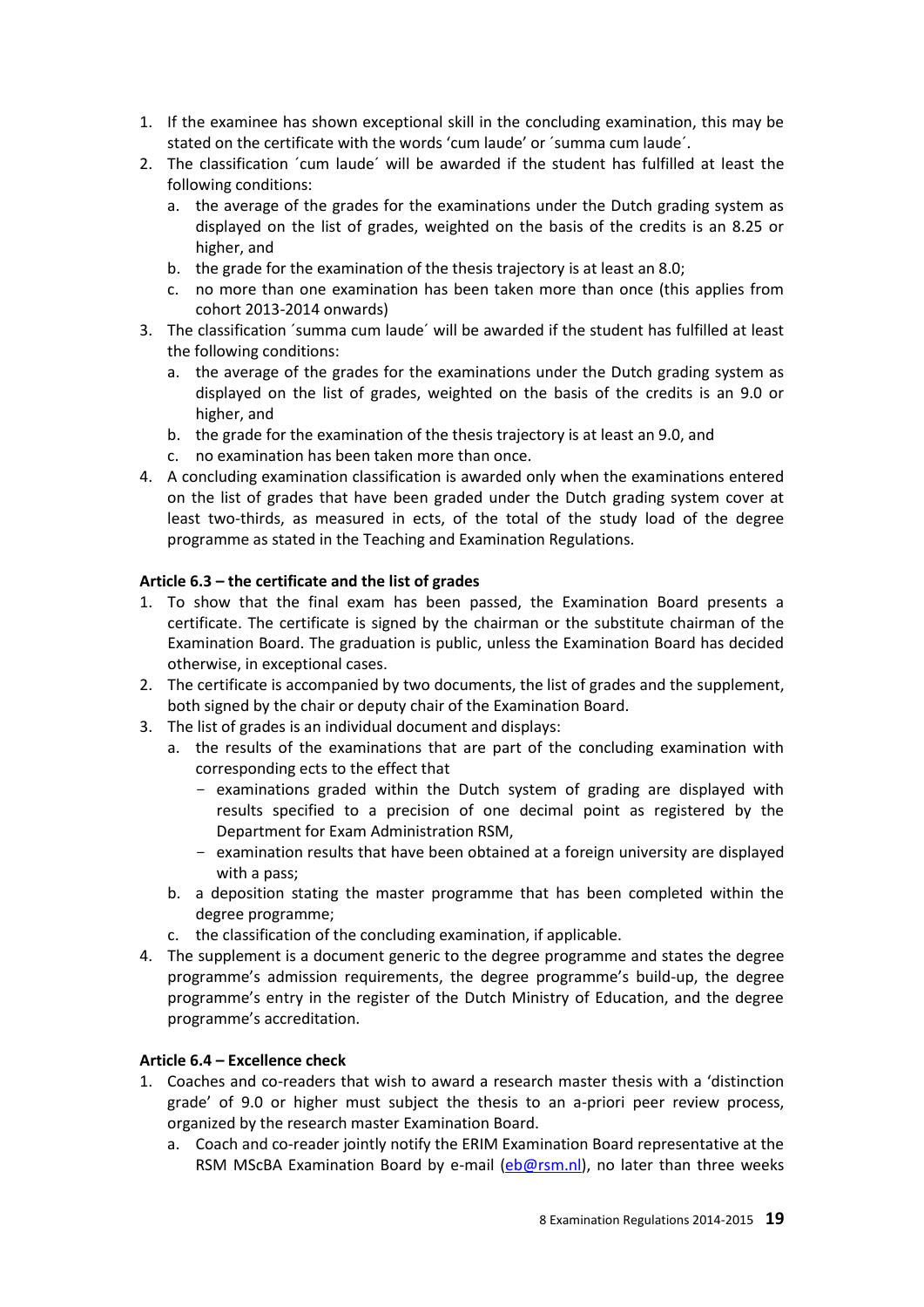- 1. If the examinee has shown exceptional skill in the concluding examination, this may be stated on the certificate with the words 'cum laude' or ´summa cum laude´.
- 2. The classification ´cum laude´ will be awarded if the student has fulfilled at least the following conditions:
	- a. the average of the grades for the examinations under the Dutch grading system as displayed on the list of grades, weighted on the basis of the credits is an 8.25 or higher, and
	- b. the grade for the examination of the thesis trajectory is at least an 8.0;
	- c. no more than one examination has been taken more than once (this applies from cohort 2013-2014 onwards)
- 3. The classification ´summa cum laude´ will be awarded if the student has fulfilled at least the following conditions:
	- a. the average of the grades for the examinations under the Dutch grading system as displayed on the list of grades, weighted on the basis of the credits is an 9.0 or higher, and
	- b. the grade for the examination of the thesis trajectory is at least an 9.0, and
	- c. no examination has been taken more than once.
- 4. A concluding examination classification is awarded only when the examinations entered on the list of grades that have been graded under the Dutch grading system cover at least two-thirds, as measured in ects, of the total of the study load of the degree programme as stated in the Teaching and Examination Regulations.

## **Article 6.3 – the certificate and the list of grades**

- 1. To show that the final exam has been passed, the Examination Board presents a certificate. The certificate is signed by the chairman or the substitute chairman of the Examination Board. The graduation is public, unless the Examination Board has decided otherwise, in exceptional cases.
- 2. The certificate is accompanied by two documents, the list of grades and the supplement, both signed by the chair or deputy chair of the Examination Board.
- 3. The list of grades is an individual document and displays:
	- a. the results of the examinations that are part of the concluding examination with corresponding ects to the effect that
		- examinations graded within the Dutch system of grading are displayed with results specified to a precision of one decimal point as registered by the Department for Exam Administration RSM,
		- examination results that have been obtained at a foreign university are displayed with a pass;
	- b. a deposition stating the master programme that has been completed within the degree programme;
	- c. the classification of the concluding examination, if applicable.
- 4. The supplement is a document generic to the degree programme and states the degree programme's admission requirements, the degree programme's build-up, the degree programme's entry in the register of the Dutch Ministry of Education, and the degree programme's accreditation.

## **Article 6.4 – Excellence check**

- 1. Coaches and co-readers that wish to award a research master thesis with a 'distinction grade' of 9.0 or higher must subject the thesis to an a-priori peer review process, organized by the research master Examination Board.
	- a. Coach and co-reader jointly notify the ERIM Examination Board representative at the RSM MScBA Examination Board by e-mail [\(eb@rsm.nl\)](mailto:eb@rsm.nl), no later than three weeks